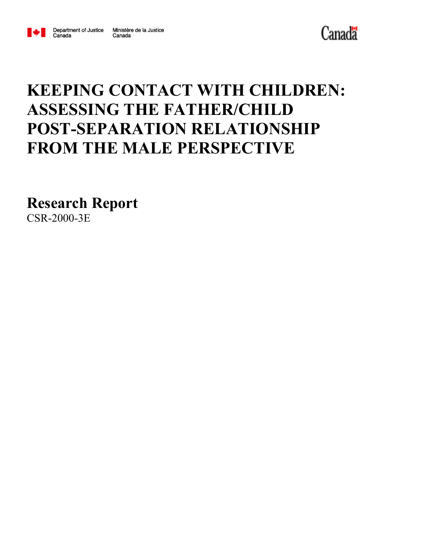

Canada



# **KEEPING CONTACT WITH CHILDREN: ASSESSING THE FATHER/CHILD POST-SEPARATION RELATIONSHIP FROM THE MALE PERSPECTIVE**

**Research Report**

CSR-2000-3E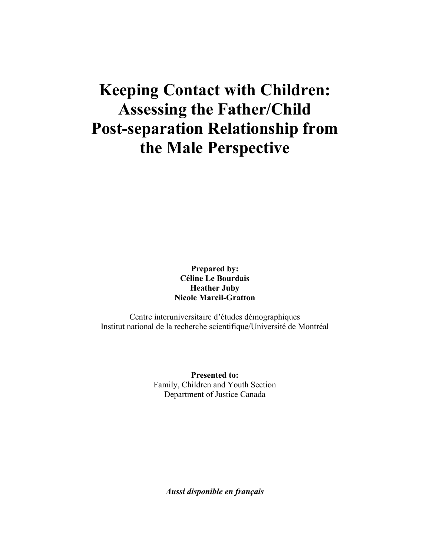## **Keeping Contact with Children: Assessing the Father/Child Post-separation Relationship from the Male Perspective**

**Prepared by: Céline Le Bourdais Heather Juby Nicole Marcil-Gratton**

Centre interuniversitaire d'études démographiques Institut national de la recherche scientifique/Université de Montréal

> **Presented to:** Family, Children and Youth Section Department of Justice Canada

*Aussi disponible en français*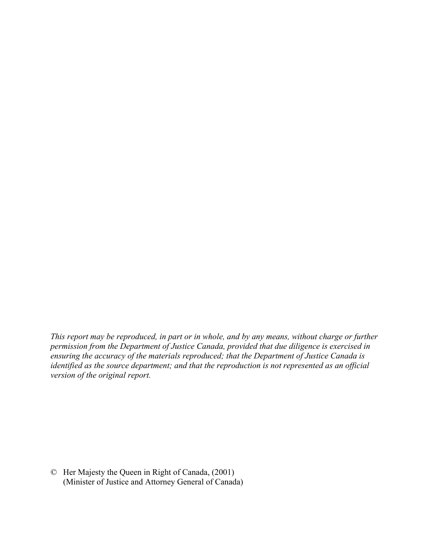*This report may be reproduced, in part or in whole, and by any means, without charge or further permission from the Department of Justice Canada, provided that due diligence is exercised in ensuring the accuracy of the materials reproduced; that the Department of Justice Canada is identified as the source department; and that the reproduction is not represented as an official version of the original report.*

© Her Majesty the Queen in Right of Canada, (2001) (Minister of Justice and Attorney General of Canada)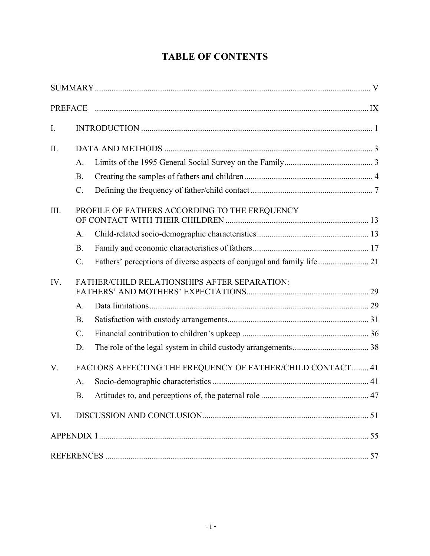## **TABLE OF CONTENTS**

| I.          |                 |                                                                        |  |
|-------------|-----------------|------------------------------------------------------------------------|--|
| II.         |                 |                                                                        |  |
|             | A.              |                                                                        |  |
|             | <b>B.</b>       |                                                                        |  |
|             | $\mathcal{C}$ . |                                                                        |  |
| III.        |                 | PROFILE OF FATHERS ACCORDING TO THE FREQUENCY                          |  |
|             | A.              |                                                                        |  |
|             | <b>B.</b>       |                                                                        |  |
|             | $\mathcal{C}$ . | Fathers' perceptions of diverse aspects of conjugal and family life 21 |  |
| IV.         |                 | FATHER/CHILD RELATIONSHIPS AFTER SEPARATION:                           |  |
|             |                 |                                                                        |  |
|             | $\mathbf{A}$ .  |                                                                        |  |
|             | <b>B.</b>       |                                                                        |  |
|             | $\mathcal{C}$ . |                                                                        |  |
|             | D.              |                                                                        |  |
| $V_{\cdot}$ |                 | FACTORS AFFECTING THE FREQUENCY OF FATHER/CHILD CONTACT 41             |  |
|             | A <sub>1</sub>  |                                                                        |  |
|             | B.              |                                                                        |  |
| VI.         |                 |                                                                        |  |
|             |                 |                                                                        |  |
|             |                 |                                                                        |  |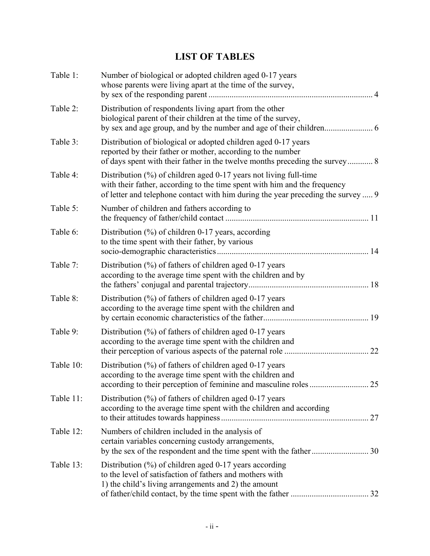## **LIST OF TABLES**

| Table 1:  | Number of biological or adopted children aged 0-17 years<br>whose parents were living apart at the time of the survey,                                                                                                                       |
|-----------|----------------------------------------------------------------------------------------------------------------------------------------------------------------------------------------------------------------------------------------------|
| Table 2:  | Distribution of respondents living apart from the other<br>biological parent of their children at the time of the survey,                                                                                                                    |
| Table 3:  | Distribution of biological or adopted children aged 0-17 years<br>reported by their father or mother, according to the number<br>of days spent with their father in the twelve months preceding the survey 8                                 |
| Table 4:  | Distribution $\frac{6}{6}$ of children aged 0-17 years not living full-time<br>with their father, according to the time spent with him and the frequency<br>of letter and telephone contact with him during the year preceding the survey  9 |
| Table 5:  | Number of children and fathers according to                                                                                                                                                                                                  |
| Table 6:  | Distribution $(\%)$ of children 0-17 years, according<br>to the time spent with their father, by various                                                                                                                                     |
| Table 7:  | Distribution $(\%)$ of fathers of children aged 0-17 years<br>according to the average time spent with the children and by                                                                                                                   |
| Table 8:  | Distribution (%) of fathers of children aged 0-17 years<br>according to the average time spent with the children and                                                                                                                         |
| Table 9:  | Distribution $(\%)$ of fathers of children aged 0-17 years<br>according to the average time spent with the children and                                                                                                                      |
| Table 10: | Distribution $(\%)$ of fathers of children aged 0-17 years<br>according to the average time spent with the children and                                                                                                                      |
| Table 11: | Distribution $\frac{6}{6}$ of fathers of children aged 0-17 years<br>according to the average time spent with the children and according                                                                                                     |
| Table 12: | Numbers of children included in the analysis of<br>certain variables concerning custody arrangements,                                                                                                                                        |
| Table 13: | Distribution (%) of children aged 0-17 years according<br>to the level of satisfaction of fathers and mothers with<br>1) the child's living arrangements and 2) the amount                                                                   |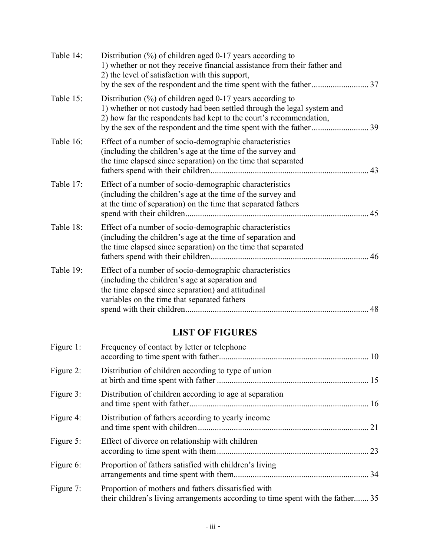| Table 14: | Distribution (%) of children aged 0-17 years according to<br>1) whether or not they receive financial assistance from their father and<br>2) the level of satisfaction with this support,                            |    |
|-----------|----------------------------------------------------------------------------------------------------------------------------------------------------------------------------------------------------------------------|----|
| Table 15: | Distribution $\frac{9}{6}$ of children aged 0-17 years according to<br>1) whether or not custody had been settled through the legal system and<br>2) how far the respondents had kept to the court's recommendation, |    |
| Table 16: | Effect of a number of socio-demographic characteristics<br>(including the children's age at the time of the survey and<br>the time elapsed since separation) on the time that separated                              | 43 |
| Table 17: | Effect of a number of socio-demographic characteristics<br>(including the children's age at the time of the survey and<br>at the time of separation) on the time that separated fathers                              |    |
| Table 18: | Effect of a number of socio-demographic characteristics<br>(including the children's age at the time of separation and<br>the time elapsed since separation) on the time that separated                              | 46 |
| Table 19: | Effect of a number of socio-demographic characteristics<br>(including the children's age at separation and<br>the time elapsed since separation) and attitudinal<br>variables on the time that separated fathers     | 48 |
|           | <b>LIST OF FIGURES</b>                                                                                                                                                                                               |    |
| Figure 1: | Frequency of contact by letter or telephone                                                                                                                                                                          |    |

| Figure 2: | Distribution of children according to type of union                                                                                    |    |
|-----------|----------------------------------------------------------------------------------------------------------------------------------------|----|
| Figure 3: | Distribution of children according to age at separation                                                                                |    |
| Figure 4: | Distribution of fathers according to yearly income                                                                                     |    |
| Figure 5: | Effect of divorce on relationship with children                                                                                        | 23 |
| Figure 6: | Proportion of fathers satisfied with children's living                                                                                 |    |
| Figure 7: | Proportion of mothers and fathers dissatisfied with<br>their children's living arrangements according to time spent with the father 35 |    |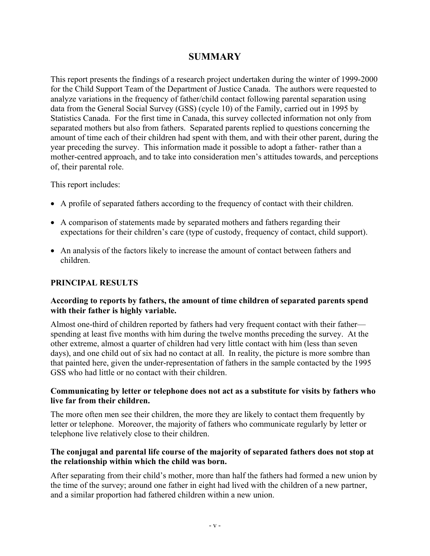### **SUMMARY**

This report presents the findings of a research project undertaken during the winter of 1999-2000 for the Child Support Team of the Department of Justice Canada. The authors were requested to analyze variations in the frequency of father/child contact following parental separation using data from the General Social Survey (GSS) (cycle 10) of the Family, carried out in 1995 by Statistics Canada. For the first time in Canada, this survey collected information not only from separated mothers but also from fathers. Separated parents replied to questions concerning the amount of time each of their children had spent with them, and with their other parent, during the year preceding the survey. This information made it possible to adopt a father- rather than a mother-centred approach, and to take into consideration men's attitudes towards, and perceptions of, their parental role.

This report includes:

- A profile of separated fathers according to the frequency of contact with their children.
- A comparison of statements made by separated mothers and fathers regarding their expectations for their children's care (type of custody, frequency of contact, child support).
- An analysis of the factors likely to increase the amount of contact between fathers and children.

#### **PRINCIPAL RESULTS**

#### **According to reports by fathers, the amount of time children of separated parents spend with their father is highly variable.**

Almost one-third of children reported by fathers had very frequent contact with their father spending at least five months with him during the twelve months preceding the survey. At the other extreme, almost a quarter of children had very little contact with him (less than seven days), and one child out of six had no contact at all. In reality, the picture is more sombre than that painted here, given the under-representation of fathers in the sample contacted by the 1995 GSS who had little or no contact with their children.

#### **Communicating by letter or telephone does not act as a substitute for visits by fathers who live far from their children.**

The more often men see their children, the more they are likely to contact them frequently by letter or telephone. Moreover, the majority of fathers who communicate regularly by letter or telephone live relatively close to their children.

#### **The conjugal and parental life course of the majority of separated fathers does not stop at the relationship within which the child was born.**

After separating from their child's mother, more than half the fathers had formed a new union by the time of the survey; around one father in eight had lived with the children of a new partner, and a similar proportion had fathered children within a new union.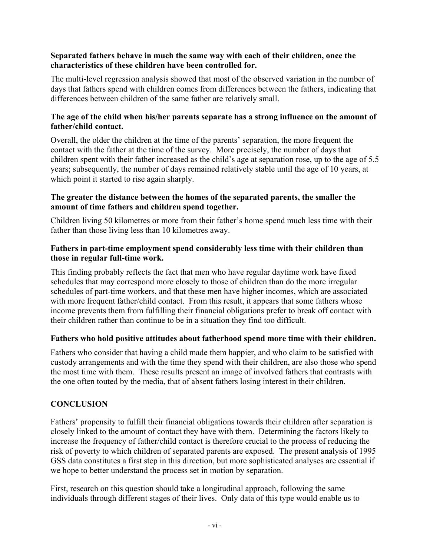#### **Separated fathers behave in much the same way with each of their children, once the characteristics of these children have been controlled for.**

The multi-level regression analysis showed that most of the observed variation in the number of days that fathers spend with children comes from differences between the fathers, indicating that differences between children of the same father are relatively small.

#### **The age of the child when his/her parents separate has a strong influence on the amount of father/child contact.**

Overall, the older the children at the time of the parents' separation, the more frequent the contact with the father at the time of the survey. More precisely, the number of days that children spent with their father increased as the child's age at separation rose, up to the age of 5.5 years; subsequently, the number of days remained relatively stable until the age of 10 years, at which point it started to rise again sharply.

#### **The greater the distance between the homes of the separated parents, the smaller the amount of time fathers and children spend together.**

Children living 50 kilometres or more from their father's home spend much less time with their father than those living less than 10 kilometres away.

#### **Fathers in part-time employment spend considerably less time with their children than those in regular full-time work.**

This finding probably reflects the fact that men who have regular daytime work have fixed schedules that may correspond more closely to those of children than do the more irregular schedules of part-time workers, and that these men have higher incomes, which are associated with more frequent father/child contact. From this result, it appears that some fathers whose income prevents them from fulfilling their financial obligations prefer to break off contact with their children rather than continue to be in a situation they find too difficult.

#### **Fathers who hold positive attitudes about fatherhood spend more time with their children.**

Fathers who consider that having a child made them happier, and who claim to be satisfied with custody arrangements and with the time they spend with their children, are also those who spend the most time with them. These results present an image of involved fathers that contrasts with the one often touted by the media, that of absent fathers losing interest in their children.

#### **CONCLUSION**

Fathers' propensity to fulfill their financial obligations towards their children after separation is closely linked to the amount of contact they have with them. Determining the factors likely to increase the frequency of father/child contact is therefore crucial to the process of reducing the risk of poverty to which children of separated parents are exposed. The present analysis of 1995 GSS data constitutes a first step in this direction, but more sophisticated analyses are essential if we hope to better understand the process set in motion by separation.

First, research on this question should take a longitudinal approach, following the same individuals through different stages of their lives. Only data of this type would enable us to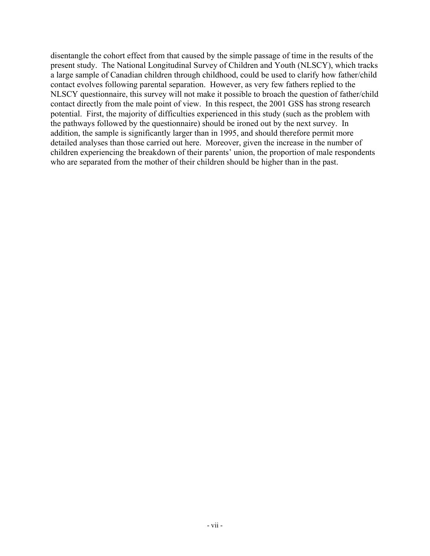disentangle the cohort effect from that caused by the simple passage of time in the results of the present study. The National Longitudinal Survey of Children and Youth (NLSCY), which tracks a large sample of Canadian children through childhood, could be used to clarify how father/child contact evolves following parental separation. However, as very few fathers replied to the NLSCY questionnaire, this survey will not make it possible to broach the question of father/child contact directly from the male point of view. In this respect, the 2001 GSS has strong research potential. First, the majority of difficulties experienced in this study (such as the problem with the pathways followed by the questionnaire) should be ironed out by the next survey. In addition, the sample is significantly larger than in 1995, and should therefore permit more detailed analyses than those carried out here. Moreover, given the increase in the number of children experiencing the breakdown of their parents' union, the proportion of male respondents who are separated from the mother of their children should be higher than in the past.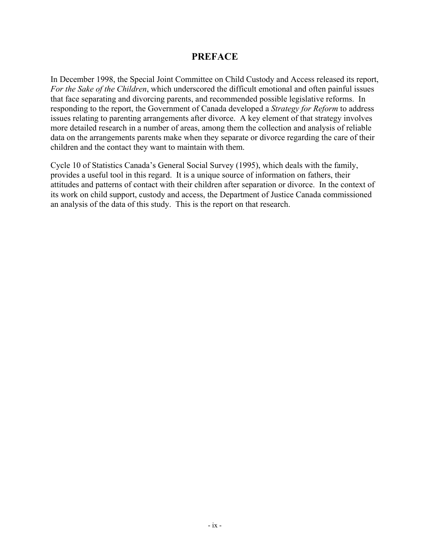#### **PREFACE**

In December 1998, the Special Joint Committee on Child Custody and Access released its report, *For the Sake of the Children*, which underscored the difficult emotional and often painful issues that face separating and divorcing parents, and recommended possible legislative reforms. In responding to the report, the Government of Canada developed a *Strategy for Reform* to address issues relating to parenting arrangements after divorce. A key element of that strategy involves more detailed research in a number of areas, among them the collection and analysis of reliable data on the arrangements parents make when they separate or divorce regarding the care of their children and the contact they want to maintain with them.

Cycle 10 of Statistics Canada's General Social Survey (1995), which deals with the family, provides a useful tool in this regard. It is a unique source of information on fathers, their attitudes and patterns of contact with their children after separation or divorce. In the context of its work on child support, custody and access, the Department of Justice Canada commissioned an analysis of the data of this study. This is the report on that research.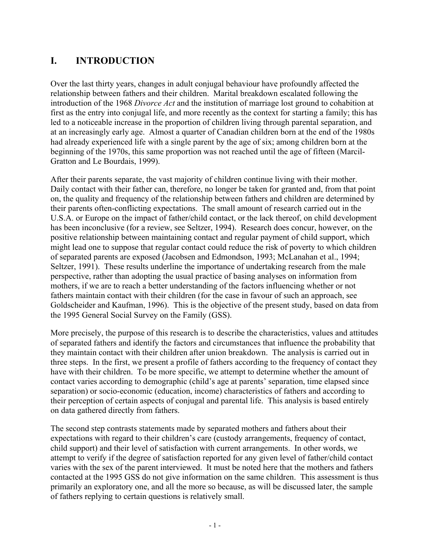## **I. INTRODUCTION**

Over the last thirty years, changes in adult conjugal behaviour have profoundly affected the relationship between fathers and their children. Marital breakdown escalated following the introduction of the 1968 *Divorce Act* and the institution of marriage lost ground to cohabition at first as the entry into conjugal life, and more recently as the context for starting a family; this has led to a noticeable increase in the proportion of children living through parental separation, and at an increasingly early age. Almost a quarter of Canadian children born at the end of the 1980s had already experienced life with a single parent by the age of six; among children born at the beginning of the 1970s, this same proportion was not reached until the age of fifteen (Marcil-Gratton and Le Bourdais, 1999).

After their parents separate, the vast majority of children continue living with their mother. Daily contact with their father can, therefore, no longer be taken for granted and, from that point on, the quality and frequency of the relationship between fathers and children are determined by their parents often-conflicting expectations. The small amount of research carried out in the U.S.A. or Europe on the impact of father/child contact, or the lack thereof, on child development has been inconclusive (for a review, see Seltzer, 1994). Research does concur, however, on the positive relationship between maintaining contact and regular payment of child support, which might lead one to suppose that regular contact could reduce the risk of poverty to which children of separated parents are exposed (Jacobsen and Edmondson, 1993; McLanahan et al., 1994; Seltzer, 1991). These results underline the importance of undertaking research from the male perspective, rather than adopting the usual practice of basing analyses on information from mothers, if we are to reach a better understanding of the factors influencing whether or not fathers maintain contact with their children (for the case in favour of such an approach, see Goldscheider and Kaufman, 1996). This is the objective of the present study, based on data from the 1995 General Social Survey on the Family (GSS).

More precisely, the purpose of this research is to describe the characteristics, values and attitudes of separated fathers and identify the factors and circumstances that influence the probability that they maintain contact with their children after union breakdown. The analysis is carried out in three steps. In the first, we present a profile of fathers according to the frequency of contact they have with their children. To be more specific, we attempt to determine whether the amount of contact varies according to demographic (child's age at parents' separation, time elapsed since separation) or socio-economic (education, income) characteristics of fathers and according to their perception of certain aspects of conjugal and parental life. This analysis is based entirely on data gathered directly from fathers.

The second step contrasts statements made by separated mothers and fathers about their expectations with regard to their children's care (custody arrangements, frequency of contact, child support) and their level of satisfaction with current arrangements. In other words, we attempt to verify if the degree of satisfaction reported for any given level of father/child contact varies with the sex of the parent interviewed. It must be noted here that the mothers and fathers contacted at the 1995 GSS do not give information on the same children. This assessment is thus primarily an exploratory one, and all the more so because, as will be discussed later, the sample of fathers replying to certain questions is relatively small.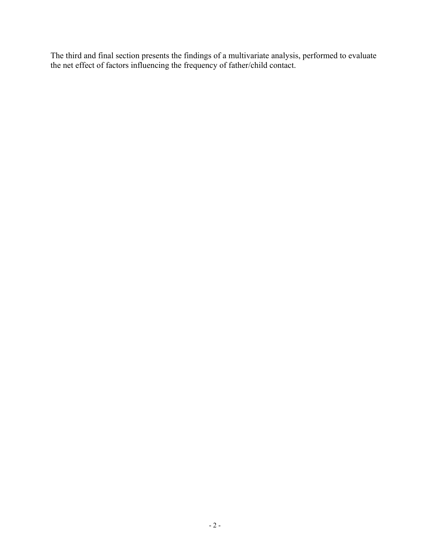The third and final section presents the findings of a multivariate analysis, performed to evaluate the net effect of factors influencing the frequency of father/child contact.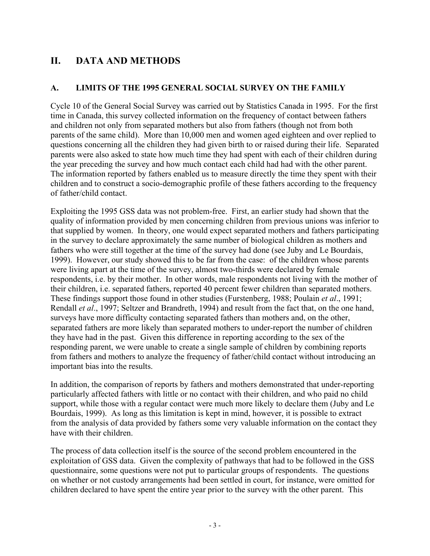## **II. DATA AND METHODS**

#### **A. LIMITS OF THE 1995 GENERAL SOCIAL SURVEY ON THE FAMILY**

Cycle 10 of the General Social Survey was carried out by Statistics Canada in 1995. For the first time in Canada, this survey collected information on the frequency of contact between fathers and children not only from separated mothers but also from fathers (though not from both parents of the same child). More than 10,000 men and women aged eighteen and over replied to questions concerning all the children they had given birth to or raised during their life. Separated parents were also asked to state how much time they had spent with each of their children during the year preceding the survey and how much contact each child had had with the other parent. The information reported by fathers enabled us to measure directly the time they spent with their children and to construct a socio-demographic profile of these fathers according to the frequency of father/child contact.

Exploiting the 1995 GSS data was not problem-free. First, an earlier study had shown that the quality of information provided by men concerning children from previous unions was inferior to that supplied by women. In theory, one would expect separated mothers and fathers participating in the survey to declare approximately the same number of biological children as mothers and fathers who were still together at the time of the survey had done (see Juby and Le Bourdais, 1999). However, our study showed this to be far from the case: of the children whose parents were living apart at the time of the survey, almost two-thirds were declared by female respondents, i.e. by their mother. In other words, male respondents not living with the mother of their children, i.e. separated fathers, reported 40 percent fewer children than separated mothers. These findings support those found in other studies (Furstenberg, 1988; Poulain *et al*., 1991; Rendall *et al*., 1997; Seltzer and Brandreth, 1994) and result from the fact that, on the one hand, surveys have more difficulty contacting separated fathers than mothers and, on the other, separated fathers are more likely than separated mothers to under-report the number of children they have had in the past. Given this difference in reporting according to the sex of the responding parent, we were unable to create a single sample of children by combining reports from fathers and mothers to analyze the frequency of father/child contact without introducing an important bias into the results.

In addition, the comparison of reports by fathers and mothers demonstrated that under-reporting particularly affected fathers with little or no contact with their children, and who paid no child support, while those with a regular contact were much more likely to declare them (Juby and Le Bourdais, 1999). As long as this limitation is kept in mind, however, it is possible to extract from the analysis of data provided by fathers some very valuable information on the contact they have with their children.

The process of data collection itself is the source of the second problem encountered in the exploitation of GSS data. Given the complexity of pathways that had to be followed in the GSS questionnaire, some questions were not put to particular groups of respondents. The questions on whether or not custody arrangements had been settled in court, for instance, were omitted for children declared to have spent the entire year prior to the survey with the other parent. This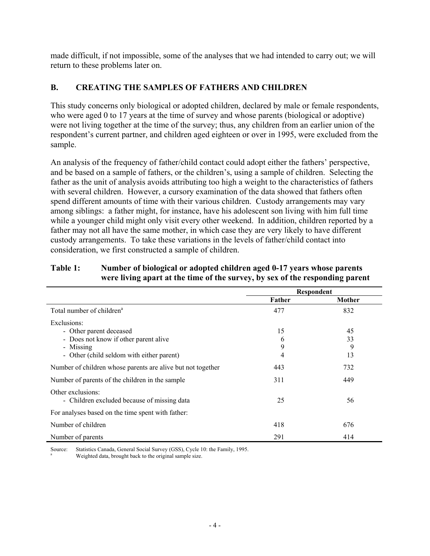made difficult, if not impossible, some of the analyses that we had intended to carry out; we will return to these problems later on.

#### **B. CREATING THE SAMPLES OF FATHERS AND CHILDREN**

This study concerns only biological or adopted children, declared by male or female respondents, who were aged 0 to 17 years at the time of survey and whose parents (biological or adoptive) were not living together at the time of the survey; thus, any children from an earlier union of the respondent's current partner, and children aged eighteen or over in 1995, were excluded from the sample.

An analysis of the frequency of father/child contact could adopt either the fathers' perspective, and be based on a sample of fathers, or the children's, using a sample of children. Selecting the father as the unit of analysis avoids attributing too high a weight to the characteristics of fathers with several children. However, a cursory examination of the data showed that fathers often spend different amounts of time with their various children. Custody arrangements may vary among siblings: a father might, for instance, have his adolescent son living with him full time while a younger child might only visit every other weekend. In addition, children reported by a father may not all have the same mother, in which case they are very likely to have different custody arrangements. To take these variations in the levels of father/child contact into consideration, we first constructed a sample of children.

#### **Table 1: Number of biological or adopted children aged 0-17 years whose parents were living apart at the time of the survey, by sex of the responding parent**

|                                                             |        | Respondent |
|-------------------------------------------------------------|--------|------------|
|                                                             | Father | Mother     |
| Total number of children <sup>a</sup>                       | 477    | 832        |
| Exclusions:                                                 |        |            |
| - Other parent deceased                                     | 15     | 45         |
| - Does not know if other parent alive                       | 6      | 33         |
| - Missing                                                   | 9      | 9          |
| - Other (child seldom with either parent)                   | 4      | 13         |
| Number of children whose parents are alive but not together | 443    | 732        |
| Number of parents of the children in the sample             | 311    | 449        |
| Other exclusions:                                           |        |            |
| - Children excluded because of missing data                 | 25     | 56         |
| For analyses based on the time spent with father:           |        |            |
| Number of children                                          | 418    | 676        |
| Number of parents                                           | 291    | 414        |

Source: Statistics Canada, General Social Survey (GSS), Cycle 10: the Family, 1995.

Weighted data, brought back to the original sample size.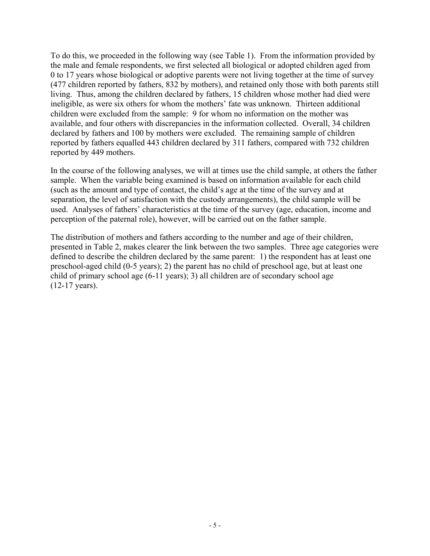To do this, we proceeded in the following way (see Table 1). From the information provided by the male and female respondents, we first selected all biological or adopted children aged from 0 to 17 years whose biological or adoptive parents were not living together at the time of survey (477 children reported by fathers, 832 by mothers), and retained only those with both parents still living. Thus, among the children declared by fathers, 15 children whose mother had died were ineligible, as were six others for whom the mothers' fate was unknown. Thirteen additional children were excluded from the sample: 9 for whom no information on the mother was available, and four others with discrepancies in the information collected. Overall, 34 children declared by fathers and 100 by mothers were excluded. The remaining sample of children reported by fathers equalled 443 children declared by 311 fathers, compared with 732 children reported by 449 mothers.

In the course of the following analyses, we will at times use the child sample, at others the father sample. When the variable being examined is based on information available for each child (such as the amount and type of contact, the child's age at the time of the survey and at separation, the level of satisfaction with the custody arrangements), the child sample will be used. Analyses of fathers' characteristics at the time of the survey (age, education, income and perception of the paternal role), however, will be carried out on the father sample.

The distribution of mothers and fathers according to the number and age of their children, presented in Table 2, makes clearer the link between the two samples. Three age categories were defined to describe the children declared by the same parent: 1) the respondent has at least one preschool-aged child (0-5 years); 2) the parent has no child of preschool age, but at least one child of primary school age (6-11 years); 3) all children are of secondary school age (12-17 years).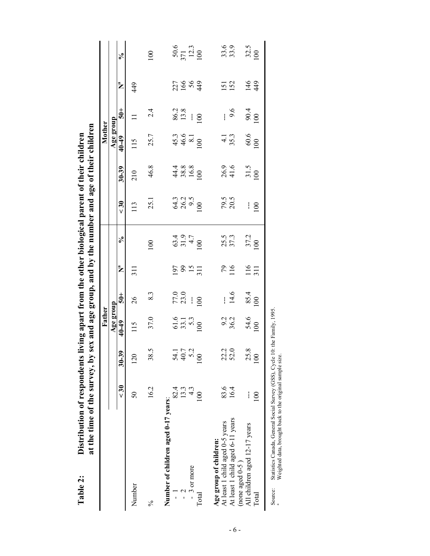|                                                       |                |                | Father                             |                    |                         |                                            |                            |                                     | Mother                             |                       |                  |                                   |
|-------------------------------------------------------|----------------|----------------|------------------------------------|--------------------|-------------------------|--------------------------------------------|----------------------------|-------------------------------------|------------------------------------|-----------------------|------------------|-----------------------------------|
|                                                       |                |                | Age group                          |                    |                         |                                            |                            |                                     | Age group                          |                       |                  |                                   |
|                                                       | $\frac{30}{5}$ | $30 - 39$      | 40-49                              | $\frac{1}{5}$      | Ž                       | న                                          | $30$                       | $30 - 39$                           | 40-49                              | $\frac{1}{5}$         | Ž                | $\mathcal{S}_{\bullet}$           |
| Number                                                | $50\,$         | 120            | 115                                | 26                 | $\frac{1}{3}$           |                                            | 13                         | 210                                 | 115                                |                       | 449              |                                   |
| $\%$                                                  | 16.2           | 38.5           | 37.0                               | 83                 |                         | 100                                        | 25.1                       | 46.8                                | 25.7                               | 2.4                   |                  | 100                               |
| Number of children aged 0-17 years:<br>$\overline{1}$ | 82.4           |                |                                    |                    |                         |                                            |                            |                                     |                                    |                       |                  |                                   |
| ر<br>-                                                | 13.3           | 54.1<br>40.7   | $61.6$<br>$33.1$<br>$33.3$<br>$00$ | 77.0<br>23.0       | $\frac{197}{99}$<br>311 | $63.4$<br>$3.9$<br>$1.9$<br>$1.9$<br>$1.0$ | 64.3<br>26.2<br>100<br>100 | $4\frac{388}{88}$<br>$100$<br>$100$ | $45.3$<br>$46.6$<br>$8.1$<br>$100$ | $86.2$<br>13.8<br>100 | 22684            | $\frac{50.6}{371}$<br>12.3<br>100 |
| - 3 or more                                           |                | $\tilde{c}$    |                                    | $\frac{1}{2}$      |                         |                                            |                            |                                     |                                    |                       |                  |                                   |
| Total                                                 | $\approx$      | 100            |                                    | $\geq$             |                         |                                            |                            |                                     |                                    |                       |                  |                                   |
| Age group of children:                                |                |                |                                    |                    |                         |                                            |                            |                                     |                                    |                       |                  |                                   |
| At least 1 child aged 0-5 years                       | 83.6           | 22.2           | 9.2<br>36.2                        |                    | $^{79}_{116}$           | 25.5<br>37.3                               | 79.5<br>20.5               | 26.9<br>41.6                        | $4.1$<br>35.3                      | Ī.                    | <b>52</b><br>152 | 33.9                              |
| At least 1 child aged 6-11 years                      | 16.4           | 52.0           |                                    | $\frac{14.6}{$     |                         |                                            |                            |                                     |                                    | 9.6                   |                  |                                   |
| All children aged 12-17 years<br>(none aged $0-5$ )   |                | 25.8           |                                    |                    |                         |                                            | $\mathbf i$                |                                     |                                    |                       |                  |                                   |
| $\Gamma$ otal                                         | $\Xi$          | $\overline{0}$ | $\frac{54.6}{100}$                 | $\frac{85.4}{100}$ | 116                     | 37.2<br>100                                | $\overline{0}$             | $\frac{31.5}{100}$                  | $\frac{60.6}{100}$                 | $\frac{90.4}{100}$    | $146$<br>449     | $\frac{32.5}{100}$                |
|                                                       |                |                |                                    |                    |                         |                                            |                            |                                     |                                    |                       |                  |                                   |

**Table 2: Distribution of respondents living apart from the other biological parent of their children**  $\mathbf{A}$  $\mathbf{f}$  thair  $\ddot{\phantom{0}}$ Ė ÷  $\frac{1}{2}$ م:<br>د  $\frac{1}{4}$  $\frac{1}{4}$  $\ddot{f}$  $\overline{1}$  $\frac{1}{2}$ نې ्  $\mathbf{D}$ istri $\mathbf{b}$  $T_0$ ble  $2$ 

Statistics Canada, General Social Survey (GSS), Cycle 10: the Family, 1995.<br>Weighted data, brought back to the original sample size. Source: Statistics Canada, General Social Survey (GSS), Cycle 10: the Family, 1995.

Source: Weighted data, brought back to the original sample size.

- 6 -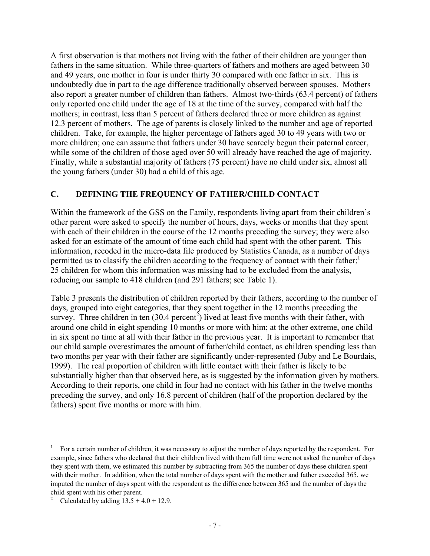A first observation is that mothers not living with the father of their children are younger than fathers in the same situation. While three-quarters of fathers and mothers are aged between 30 and 49 years, one mother in four is under thirty 30 compared with one father in six. This is undoubtedly due in part to the age difference traditionally observed between spouses. Mothers also report a greater number of children than fathers. Almost two-thirds (63.4 percent) of fathers only reported one child under the age of 18 at the time of the survey, compared with half the mothers; in contrast, less than 5 percent of fathers declared three or more children as against 12.3 percent of mothers. The age of parents is closely linked to the number and age of reported children. Take, for example, the higher percentage of fathers aged 30 to 49 years with two or more children; one can assume that fathers under 30 have scarcely begun their paternal career, while some of the children of those aged over 50 will already have reached the age of majority. Finally, while a substantial majority of fathers (75 percent) have no child under six, almost all the young fathers (under 30) had a child of this age.

#### **C. DEFINING THE FREQUENCY OF FATHER/CHILD CONTACT**

Within the framework of the GSS on the Family, respondents living apart from their children's other parent were asked to specify the number of hours, days, weeks or months that they spent with each of their children in the course of the 12 months preceding the survey; they were also asked for an estimate of the amount of time each child had spent with the other parent. This information, recoded in the micro-data file produced by Statistics Canada, as a number of days permitted us to classify the children according to the frequency of contact with their father;<sup>1</sup> 25 children for whom this information was missing had to be excluded from the analysis, reducing our sample to 418 children (and 291 fathers; see Table 1).

Table 3 presents the distribution of children reported by their fathers, according to the number of days, grouped into eight categories, that they spent together in the 12 months preceding the survey. Three children in ten  $(30.4 \text{ percent}^2)$  lived at least five months with their father, with around one child in eight spending 10 months or more with him; at the other extreme, one child in six spent no time at all with their father in the previous year. It is important to remember that our child sample overestimates the amount of father/child contact, as children spending less than two months per year with their father are significantly under-represented (Juby and Le Bourdais, 1999). The real proportion of children with little contact with their father is likely to be substantially higher than that observed here, as is suggested by the information given by mothers. According to their reports, one child in four had no contact with his father in the twelve months preceding the survey, and only 16.8 percent of children (half of the proportion declared by the fathers) spent five months or more with him.

 $\overline{a}$ 

<sup>1</sup> For a certain number of children, it was necessary to adjust the number of days reported by the respondent. For example, since fathers who declared that their children lived with them full time were not asked the number of days they spent with them, we estimated this number by subtracting from 365 the number of days these children spent with their mother. In addition, when the total number of days spent with the mother and father exceeded 365, we imputed the number of days spent with the respondent as the difference between 365 and the number of days the child spent with his other parent.<br> $\frac{2}{5}$  Calculated by adding 13.5 + 4

Calculated by adding  $13.5 + 4.0 + 12.9$ .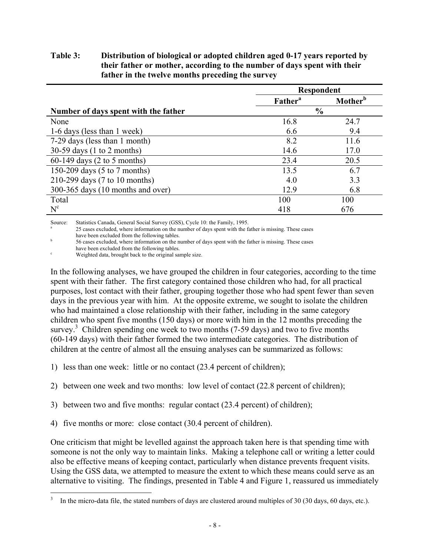#### **Table 3: Distribution of biological or adopted children aged 0-17 years reported by their father or mother, according to the number of days spent with their father in the twelve months preceding the survey**

|                                      | <b>Respondent</b>          |                     |  |
|--------------------------------------|----------------------------|---------------------|--|
|                                      | <b>Father</b> <sup>a</sup> | Mother <sup>b</sup> |  |
| Number of days spent with the father |                            | $\frac{6}{6}$       |  |
| None                                 | 16.8                       | 24.7                |  |
| 1-6 days (less than 1 week)          | 6.6                        | 9.4                 |  |
| 7-29 days (less than 1 month)        | 8.2                        | 11.6                |  |
| $30-59$ days (1 to 2 months)         | 14.6                       | 17.0                |  |
| $60-149$ days (2 to 5 months)        | 23.4                       | 20.5                |  |
| 150-209 days (5 to 7 months)         | 13.5                       | 6.7                 |  |
| 210-299 days (7 to 10 months)        | 4.0                        | 3.3                 |  |
| 300-365 days (10 months and over)    | 12.9                       | 6.8                 |  |
| Total                                | 100                        | 100                 |  |
| $N^c$                                | 418                        | 676                 |  |

Source: Statistics Canada, General Social Survey (GSS), Cycle 10: the Family, 1995.

25 cases excluded, where information on the number of days spent with the father is missing. These cases have been excluded from the following tables.

<sup>b</sup> 56 cases excluded, where information on the number of days spent with the father is missing. These cases

have been excluded from the following tables.

Weighted data, brought back to the original sample size.

In the following analyses, we have grouped the children in four categories, according to the time spent with their father. The first category contained those children who had, for all practical purposes, lost contact with their father, grouping together those who had spent fewer than seven days in the previous year with him. At the opposite extreme, we sought to isolate the children who had maintained a close relationship with their father, including in the same category children who spent five months (150 days) or more with him in the 12 months preceding the survey.<sup>3</sup> Children spending one week to two months (7-59 days) and two to five months (60-149 days) with their father formed the two intermediate categories. The distribution of children at the centre of almost all the ensuing analyses can be summarized as follows:

1) less than one week: little or no contact (23.4 percent of children);

2) between one week and two months: low level of contact (22.8 percent of children);

3) between two and five months: regular contact (23.4 percent) of children);

4) five months or more: close contact (30.4 percent of children).

One criticism that might be levelled against the approach taken here is that spending time with someone is not the only way to maintain links. Making a telephone call or writing a letter could also be effective means of keeping contact, particularly when distance prevents frequent visits. Using the GSS data, we attempted to measure the extent to which these means could serve as an alternative to visiting. The findings, presented in Table 4 and Figure 1, reassured us immediately

 $\mathfrak z$ In the micro-data file, the stated numbers of days are clustered around multiples of 30 (30 days, 60 days, etc.).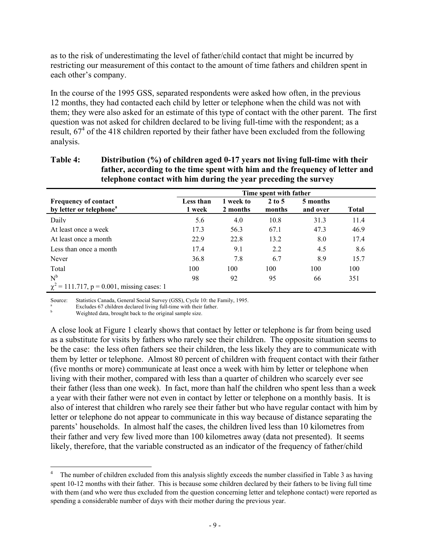as to the risk of underestimating the level of father/child contact that might be incurred by restricting our measurement of this contact to the amount of time fathers and children spent in each other's company.

In the course of the 1995 GSS, separated respondents were asked how often, in the previous 12 months, they had contacted each child by letter or telephone when the child was not with them; they were also asked for an estimate of this type of contact with the other parent. The first question was not asked for children declared to be living full-time with the respondent; as a result,  $67<sup>4</sup>$  of the 418 children reported by their father have been excluded from the following analysis.

| telephone contact with him during the year preceding the survey    |                        |                       |                             |                      |              |  |  |  |  |  |
|--------------------------------------------------------------------|------------------------|-----------------------|-----------------------------|----------------------|--------------|--|--|--|--|--|
|                                                                    | Time spent with father |                       |                             |                      |              |  |  |  |  |  |
| <b>Frequency of contact</b><br>by letter or telephone <sup>a</sup> | Less than<br>1 week    | 1 week to<br>2 months | $2 \text{ to } 5$<br>months | 5 months<br>and over | <b>Total</b> |  |  |  |  |  |
| Daily                                                              | 5.6                    | 4.0                   | 10.8                        | 31.3                 | 11.4         |  |  |  |  |  |
| At least once a week                                               | 17.3                   | 56.3                  | 67.1                        | 47.3                 | 46.9         |  |  |  |  |  |
| At least once a month                                              | 22.9                   | 22.8                  | 13.2                        | 8.0                  | 17.4         |  |  |  |  |  |
| Less than once a month                                             | 17.4                   | 9.1                   | 2.2                         | 4.5                  | 8.6          |  |  |  |  |  |
| Never                                                              | 36.8                   | 7.8                   | 6.7                         | 8.9                  | 15.7         |  |  |  |  |  |
| Total                                                              | 100                    | 100                   | 100                         | 100                  | 100          |  |  |  |  |  |
| $N^b$<br>$\chi^2$ = 111.717, p = 0.001, missing cases: 1           | 98                     | 92                    | 95                          | 66                   | 351          |  |  |  |  |  |

## **Table 4: Distribution (%) of children aged 0-17 years not living full-time with their father, according to the time spent with him and the frequency of letter and**

Source: Statistics Canada, General Social Survey (GSS), Cycle 10: the Family, 1995.

<sup>a</sup> Excludes 67 children declared living full-time with their father.

Weighted data, brought back to the original sample size.

 $\overline{a}$ 

A close look at Figure 1 clearly shows that contact by letter or telephone is far from being used as a substitute for visits by fathers who rarely see their children. The opposite situation seems to be the case: the less often fathers see their children, the less likely they are to communicate with them by letter or telephone. Almost 80 percent of children with frequent contact with their father (five months or more) communicate at least once a week with him by letter or telephone when living with their mother, compared with less than a quarter of children who scarcely ever see their father (less than one week). In fact, more than half the children who spent less than a week a year with their father were not even in contact by letter or telephone on a monthly basis. It is also of interest that children who rarely see their father but who have regular contact with him by letter or telephone do not appear to communicate in this way because of distance separating the parents' households. In almost half the cases, the children lived less than 10 kilometres from their father and very few lived more than 100 kilometres away (data not presented). It seems likely, therefore, that the variable constructed as an indicator of the frequency of father/child

The number of children excluded from this analysis slightly exceeds the number classified in Table 3 as having spent 10-12 months with their father. This is because some children declared by their fathers to be living full time with them (and who were thus excluded from the question concerning letter and telephone contact) were reported as spending a considerable number of days with their mother during the previous year.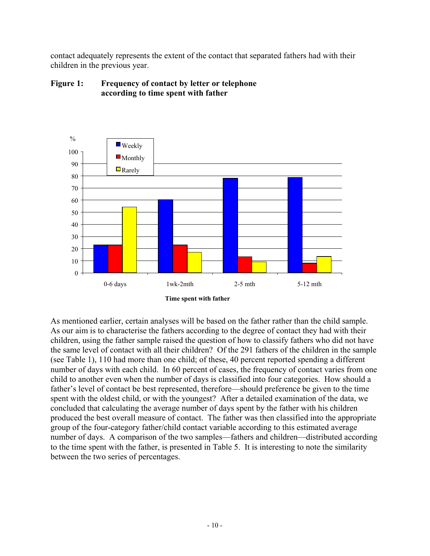contact adequately represents the extent of the contact that separated fathers had with their children in the previous year.



#### **Figure 1: Frequency of contact by letter or telephone according to time spent with father**

As mentioned earlier, certain analyses will be based on the father rather than the child sample. As our aim is to characterise the fathers according to the degree of contact they had with their children, using the father sample raised the question of how to classify fathers who did not have the same level of contact with all their children? Of the 291 fathers of the children in the sample (see Table 1), 110 had more than one child; of these, 40 percent reported spending a different number of days with each child. In 60 percent of cases, the frequency of contact varies from one child to another even when the number of days is classified into four categories. How should a father's level of contact be best represented, therefore—should preference be given to the time spent with the oldest child, or with the youngest? After a detailed examination of the data, we concluded that calculating the average number of days spent by the father with his children produced the best overall measure of contact. The father was then classified into the appropriate group of the four-category father/child contact variable according to this estimated average number of days. A comparison of the two samples—fathers and children—distributed according to the time spent with the father, is presented in Table 5. It is interesting to note the similarity between the two series of percentages.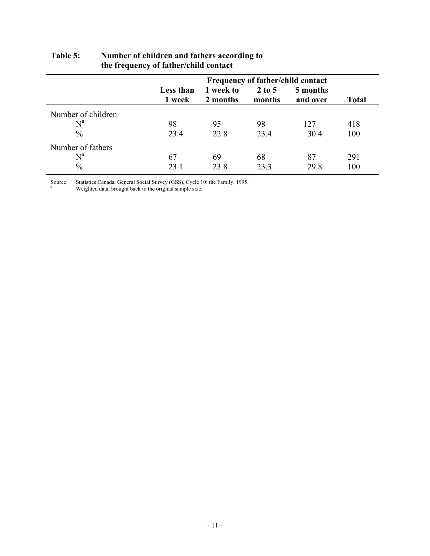|                           |                     |                       |                    | <b>Frequency of father/child contact</b> |              |
|---------------------------|---------------------|-----------------------|--------------------|------------------------------------------|--------------|
|                           | Less than<br>1 week | 1 week to<br>2 months | $2$ to 5<br>months | 5 months<br>and over                     | <b>Total</b> |
| Number of children        |                     |                       |                    |                                          |              |
| $\mathrm{N}^{\mathrm{a}}$ | 98                  | 95                    | 98                 | 127                                      | 418          |
| $\frac{0}{0}$             | 23.4                | 22.8                  | 23.4               | 30.4                                     | 100          |
| Number of fathers         |                     |                       |                    |                                          |              |
| $N^a$                     | 67                  | 69                    | 68                 | 87                                       | 291          |
| $\frac{0}{0}$             | 23.1                | 23.8                  | 23.3               | 29.8                                     | 100          |

#### **Table 5: Number of children and fathers according to the frequency of father/child contact**

Source: Statistics Canada, General Social Survey (GSS), Cycle 10: the Family, 1995.

<sup>a</sup> Weighted data, brought back to the original sample size.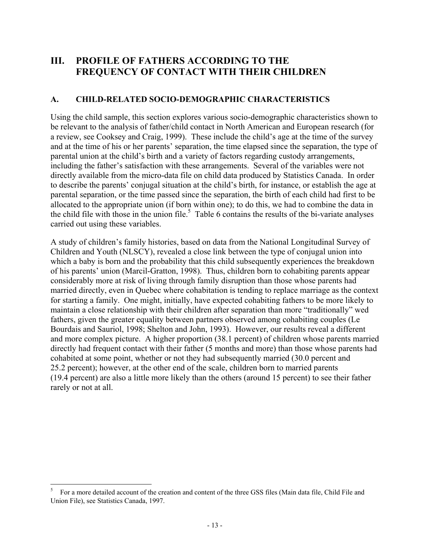## **III. PROFILE OF FATHERS ACCORDING TO THE FREQUENCY OF CONTACT WITH THEIR CHILDREN**

#### **A. CHILD-RELATED SOCIO-DEMOGRAPHIC CHARACTERISTICS**

Using the child sample, this section explores various socio-demographic characteristics shown to be relevant to the analysis of father/child contact in North American and European research (for a review, see Cooksey and Craig, 1999). These include the child's age at the time of the survey and at the time of his or her parents' separation, the time elapsed since the separation, the type of parental union at the child's birth and a variety of factors regarding custody arrangements, including the father's satisfaction with these arrangements. Several of the variables were not directly available from the micro-data file on child data produced by Statistics Canada. In order to describe the parents' conjugal situation at the child's birth, for instance, or establish the age at parental separation, or the time passed since the separation, the birth of each child had first to be allocated to the appropriate union (if born within one); to do this, we had to combine the data in the child file with those in the union file.<sup>5</sup> Table 6 contains the results of the bi-variate analyses carried out using these variables.

A study of children's family histories, based on data from the National Longitudinal Survey of Children and Youth (NLSCY), revealed a close link between the type of conjugal union into which a baby is born and the probability that this child subsequently experiences the breakdown of his parents' union (Marcil-Gratton, 1998). Thus, children born to cohabiting parents appear considerably more at risk of living through family disruption than those whose parents had married directly, even in Quebec where cohabitation is tending to replace marriage as the context for starting a family. One might, initially, have expected cohabiting fathers to be more likely to maintain a close relationship with their children after separation than more "traditionally" wed fathers, given the greater equality between partners observed among cohabiting couples (Le Bourdais and Sauriol, 1998; Shelton and John, 1993). However, our results reveal a different and more complex picture. A higher proportion (38.1 percent) of children whose parents married directly had frequent contact with their father (5 months and more) than those whose parents had cohabited at some point, whether or not they had subsequently married (30.0 percent and 25.2 percent); however, at the other end of the scale, children born to married parents (19.4 percent) are also a little more likely than the others (around 15 percent) to see their father rarely or not at all.

 $\mathfrak{s}$ <sup>5</sup> For a more detailed account of the creation and content of the three GSS files (Main data file, Child File and Union File), see Statistics Canada, 1997.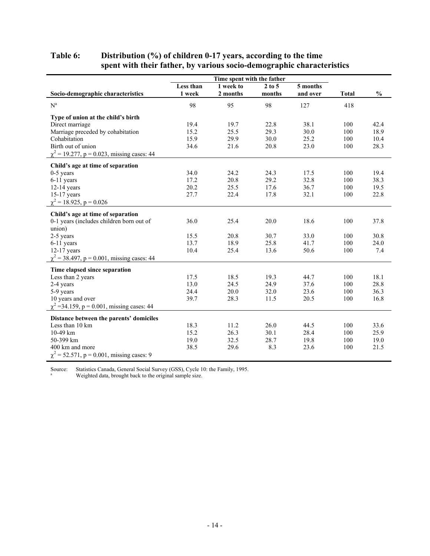#### **Table 6: Distribution (%) of children 0-17 years, according to the time spent with their father, by various socio-demographic characteristics**

|                                                 | Less than | Time spent with the father<br>1 week to | $2$ to $5$ | 5 months |              |               |
|-------------------------------------------------|-----------|-----------------------------------------|------------|----------|--------------|---------------|
| Socio-demographic characteristics               | 1 week    | 2 months                                | months     | and over | <b>Total</b> | $\frac{0}{0}$ |
| $N^a$                                           | 98        | 95                                      | 98         | 127      | 418          |               |
| Type of union at the child's birth              |           |                                         |            |          |              |               |
| Direct marriage                                 | 19.4      | 19.7                                    | 22.8       | 38.1     | 100          | 42.4          |
| Marriage preceded by cohabitation               | 15.2      | 25.5                                    | 29.3       | 30.0     | 100          | 18.9          |
| Cohabitation                                    | 15.9      | 29.9                                    | 30.0       | 25.2     | 100          | 10.4          |
| Birth out of union                              | 34.6      | 21.6                                    | 20.8       | 23.0     | 100          | 28.3          |
| $\chi^2$ = 19.277, p = 0.023, missing cases: 44 |           |                                         |            |          |              |               |
| Child's age at time of separation               |           |                                         |            |          |              |               |
| $0-5$ years                                     | 34.0      | 24.2                                    | 24.3       | 17.5     | 100          | 19.4          |
| 6-11 years                                      | 17.2      | 20.8                                    | 29.2       | 32.8     | 100          | 38.3          |
| $12-14$ years                                   | 20.2      | 25.5                                    | 17.6       | 36.7     | 100          | 19.5          |
| $15-17$ years                                   | 27.7      | 22.4                                    | 17.8       | 32.1     | 100          | 22.8          |
| $\chi^2$ = 18.925, p = 0.026                    |           |                                         |            |          |              |               |
| Child's age at time of separation               |           |                                         |            |          |              |               |
| 0-1 years (includes children born out of        | 36.0      | 25.4                                    | 20.0       | 18.6     | 100          | 37.8          |
| union)                                          |           |                                         |            |          |              |               |
| 2-5 years                                       | 15.5      | 20.8                                    | 30.7       | 33.0     | 100          | 30.8          |
| 6-11 years                                      | 13.7      | 18.9                                    | 25.8       | 41.7     | 100          | 24.0          |
| $12-17$ years                                   | 10.4      | 25.4                                    | 13.6       | 50.6     | 100          | 7.4           |
| $\chi^2$ = 38.497, p = 0.001, missing cases: 44 |           |                                         |            |          |              |               |
|                                                 |           |                                         |            |          |              |               |
| Time elapsed since separation                   |           |                                         |            |          |              | 18.1          |
| Less than 2 years                               | 17.5      | 18.5                                    | 19.3       | 44.7     | 100          |               |
| 2-4 years                                       | 13.0      | 24.5                                    | 24.9       | 37.6     | 100          | 28.8          |
| 5-9 years<br>10 years and over                  | 24.4      | 20.0                                    | 32.0       | 23.6     | 100<br>100   | 36.3          |
|                                                 | 39.7      | 28.3                                    | 11.5       | 20.5     |              | 16.8          |
| $\chi^2$ =34.159, p = 0.001, missing cases: 44  |           |                                         |            |          |              |               |
| Distance between the parents' domiciles         |           |                                         |            |          |              |               |
| Less than 10 km                                 | 18.3      | 11.2                                    | 26.0       | 44.5     | 100          | 33.6          |
| 10-49 km                                        | 15.2      | 26.3                                    | 30.1       | 28.4     | 100          | 25.9          |
| 50-399 km                                       | 19.0      | 32.5                                    | 28.7       | 19.8     | 100          | 19.0          |
| 400 km and more                                 | 38.5      | 29.6                                    | 8.3        | 23.6     | 100          | 21.5          |
| $\chi^2$ = 52.571, p = 0.001, missing cases: 9  |           |                                         |            |          |              |               |

Source: Statistics Canada, General Social Survey (GSS), Cycle 10: the Family, 1995.

<sup>a</sup> Weighted data, brought back to the original sample size.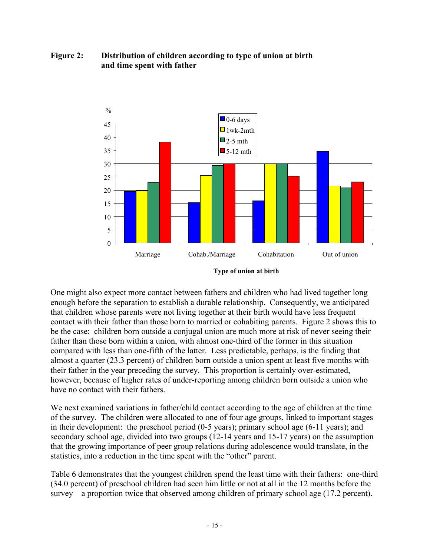#### **Figure 2: Distribution of children according to type of union at birth and time spent with father**



**Type of union at birth**

One might also expect more contact between fathers and children who had lived together long enough before the separation to establish a durable relationship. Consequently, we anticipated that children whose parents were not living together at their birth would have less frequent contact with their father than those born to married or cohabiting parents. Figure 2 shows this to be the case: children born outside a conjugal union are much more at risk of never seeing their father than those born within a union, with almost one-third of the former in this situation compared with less than one-fifth of the latter. Less predictable, perhaps, is the finding that almost a quarter (23.3 percent) of children born outside a union spent at least five months with their father in the year preceding the survey. This proportion is certainly over-estimated, however, because of higher rates of under-reporting among children born outside a union who have no contact with their fathers.

We next examined variations in father/child contact according to the age of children at the time of the survey. The children were allocated to one of four age groups, linked to important stages in their development: the preschool period (0-5 years); primary school age (6-11 years); and secondary school age, divided into two groups (12-14 years and 15-17 years) on the assumption that the growing importance of peer group relations during adolescence would translate, in the statistics, into a reduction in the time spent with the "other" parent.

Table 6 demonstrates that the youngest children spend the least time with their fathers: one-third (34.0 percent) of preschool children had seen him little or not at all in the 12 months before the survey—a proportion twice that observed among children of primary school age (17.2 percent).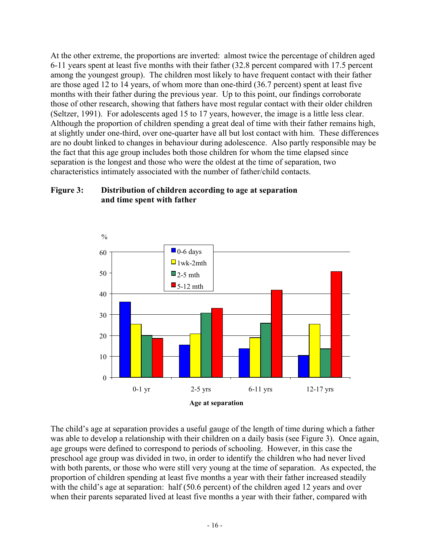At the other extreme, the proportions are inverted: almost twice the percentage of children aged 6-11 years spent at least five months with their father (32.8 percent compared with 17.5 percent among the youngest group). The children most likely to have frequent contact with their father are those aged 12 to 14 years, of whom more than one-third (36.7 percent) spent at least five months with their father during the previous year. Up to this point, our findings corroborate those of other research, showing that fathers have most regular contact with their older children (Seltzer, 1991). For adolescents aged 15 to 17 years, however, the image is a little less clear. Although the proportion of children spending a great deal of time with their father remains high, at slightly under one-third, over one-quarter have all but lost contact with him. These differences are no doubt linked to changes in behaviour during adolescence. Also partly responsible may be the fact that this age group includes both those children for whom the time elapsed since separation is the longest and those who were the oldest at the time of separation, two characteristics intimately associated with the number of father/child contacts.

#### **Figure 3: Distribution of children according to age at separation and time spent with father**



The child's age at separation provides a useful gauge of the length of time during which a father was able to develop a relationship with their children on a daily basis (see Figure 3). Once again, age groups were defined to correspond to periods of schooling. However, in this case the preschool age group was divided in two, in order to identify the children who had never lived with both parents, or those who were still very young at the time of separation. As expected, the proportion of children spending at least five months a year with their father increased steadily with the child's age at separation: half (50.6 percent) of the children aged 12 years and over when their parents separated lived at least five months a year with their father, compared with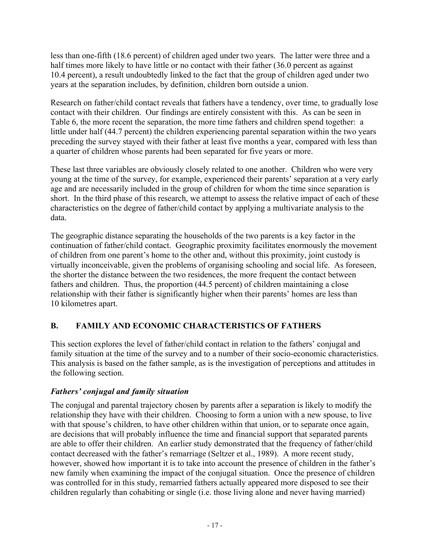less than one-fifth (18.6 percent) of children aged under two years. The latter were three and a half times more likely to have little or no contact with their father (36.0 percent as against 10.4 percent), a result undoubtedly linked to the fact that the group of children aged under two years at the separation includes, by definition, children born outside a union.

Research on father/child contact reveals that fathers have a tendency, over time, to gradually lose contact with their children. Our findings are entirely consistent with this. As can be seen in Table 6, the more recent the separation, the more time fathers and children spend together: a little under half (44.7 percent) the children experiencing parental separation within the two years preceding the survey stayed with their father at least five months a year, compared with less than a quarter of children whose parents had been separated for five years or more.

These last three variables are obviously closely related to one another. Children who were very young at the time of the survey, for example, experienced their parents' separation at a very early age and are necessarily included in the group of children for whom the time since separation is short. In the third phase of this research, we attempt to assess the relative impact of each of these characteristics on the degree of father/child contact by applying a multivariate analysis to the data.

The geographic distance separating the households of the two parents is a key factor in the continuation of father/child contact. Geographic proximity facilitates enormously the movement of children from one parent's home to the other and, without this proximity, joint custody is virtually inconceivable, given the problems of organising schooling and social life. As foreseen, the shorter the distance between the two residences, the more frequent the contact between fathers and children. Thus, the proportion (44.5 percent) of children maintaining a close relationship with their father is significantly higher when their parents' homes are less than 10 kilometres apart.

### **B. FAMILY AND ECONOMIC CHARACTERISTICS OF FATHERS**

This section explores the level of father/child contact in relation to the fathers' conjugal and family situation at the time of the survey and to a number of their socio-economic characteristics. This analysis is based on the father sample, as is the investigation of perceptions and attitudes in the following section.

#### *Fathers' conjugal and family situation*

The conjugal and parental trajectory chosen by parents after a separation is likely to modify the relationship they have with their children. Choosing to form a union with a new spouse, to live with that spouse's children, to have other children within that union, or to separate once again, are decisions that will probably influence the time and financial support that separated parents are able to offer their children. An earlier study demonstrated that the frequency of father/child contact decreased with the father's remarriage (Seltzer et al., 1989). A more recent study, however, showed how important it is to take into account the presence of children in the father's new family when examining the impact of the conjugal situation. Once the presence of children was controlled for in this study, remarried fathers actually appeared more disposed to see their children regularly than cohabiting or single (i.e. those living alone and never having married)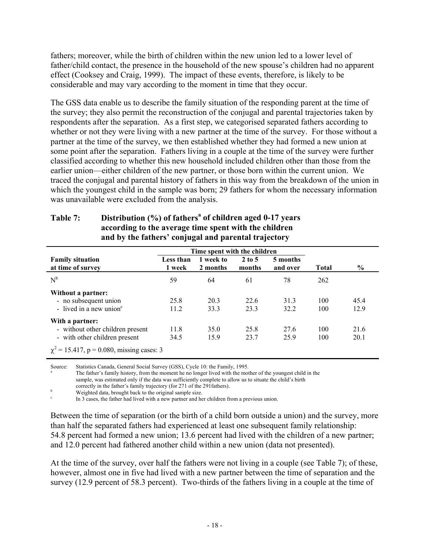fathers; moreover, while the birth of children within the new union led to a lower level of father/child contact, the presence in the household of the new spouse's children had no apparent effect (Cooksey and Craig, 1999). The impact of these events, therefore, is likely to be considerable and may vary according to the moment in time that they occur.

The GSS data enable us to describe the family situation of the responding parent at the time of the survey; they also permit the reconstruction of the conjugal and parental trajectories taken by respondents after the separation. As a first step, we categorised separated fathers according to whether or not they were living with a new partner at the time of the survey. For those without a partner at the time of the survey, we then established whether they had formed a new union at some point after the separation. Fathers living in a couple at the time of the survey were further classified according to whether this new household included children other than those from the earlier union—either children of the new partner, or those born within the current union. We traced the conjugal and parental history of fathers in this way from the breakdown of the union in which the youngest child in the sample was born; 29 fathers for whom the necessary information was unavailable were excluded from the analysis.

| Time spent with the children |                       |                             |                      |              |               |
|------------------------------|-----------------------|-----------------------------|----------------------|--------------|---------------|
| Less than<br>1 week          | 1 week to<br>2 months | $2 \text{ to } 5$<br>months | 5 months<br>and over | <b>Total</b> | $\frac{0}{0}$ |
| 59                           | 64                    | 61                          | 78                   | 262          |               |
|                              |                       |                             |                      |              |               |
| 25.8                         | 20.3                  | 22.6                        | 31.3                 | 100          | 45.4          |
| 11.2                         | 33.3                  | 23.3                        | 32.2                 | 100          | 12.9          |
|                              |                       |                             |                      |              |               |
| 11.8                         | 35.0                  | 25.8                        | 27.6                 | 100          | 21.6          |
| 34.5                         | 15.9                  | 23.7                        | 25.9                 | 100          | 20.1          |
|                              |                       |                             |                      |              |               |

#### **Table 7: Distribution (%) of fathers<sup>a</sup> of children aged 0-17 years according to the average time spent with the children and by the fathers' conjugal and parental trajectory**

Source: Statistics Canada, General Social Survey (GSS), Cycle 10: the Family, 1995.

The father's family history, from the moment he no longer lived with the mother of the youngest child in the sample, was estimated only if the data was sufficiently complete to allow us to situate the child's birth

correctly in the father's family trajectory (for 271 of the 291fathers).

Weighted data, brought back to the original sample size.

In 3 cases, the father had lived with a new partner and her children from a previous union.

Between the time of separation (or the birth of a child born outside a union) and the survey, more than half the separated fathers had experienced at least one subsequent family relationship: 54.8 percent had formed a new union; 13.6 percent had lived with the children of a new partner; and 12.0 percent had fathered another child within a new union (data not presented).

At the time of the survey, over half the fathers were not living in a couple (see Table 7); of these, however, almost one in five had lived with a new partner between the time of separation and the survey (12.9 percent of 58.3 percent). Two-thirds of the fathers living in a couple at the time of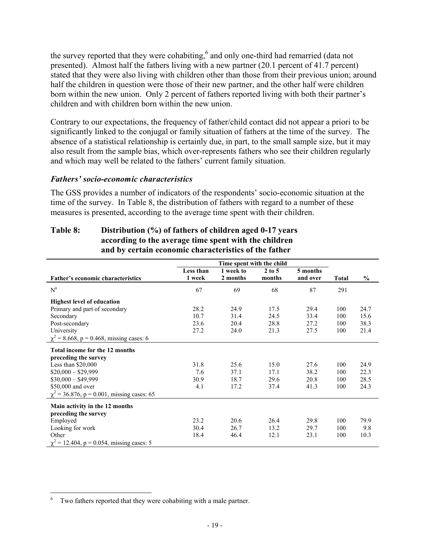the survey reported that they were cohabiting,<sup>6</sup> and only one-third had remarried (data not presented). Almost half the fathers living with a new partner (20.1 percent of 41.7 percent) stated that they were also living with children other than those from their previous union; around half the children in question were those of their new partner, and the other half were children born within the new union. Only 2 percent of fathers reported living with both their partner's children and with children born within the new union.

Contrary to our expectations, the frequency of father/child contact did not appear a priori to be significantly linked to the conjugal or family situation of fathers at the time of the survey. The absence of a statistical relationship is certainly due, in part, to the small sample size, but it may also result from the sample bias, which over-represents fathers who see their children regularly and which may well be related to the fathers' current family situation.

#### *Fathers' socio-economic characteristics*

The GSS provides a number of indicators of the respondents' socio-economic situation at the time of the survey. In Table 8, the distribution of fathers with regard to a number of these measures is presented, according to the average time spent with their children.

#### **Table 8: Distribution (%) of fathers of children aged 0-17 years according to the average time spent with the children and by certain economic characteristics of the father**

|                                                 | Time spent with the child |           |          |          |              |               |
|-------------------------------------------------|---------------------------|-----------|----------|----------|--------------|---------------|
|                                                 | Less than                 | 1 week to | $2$ to 5 | 5 months |              |               |
| Father's economic characteristics               | 1 week                    | 2 months  | months   | and over | <b>Total</b> | $\frac{6}{9}$ |
| $N^a$                                           | 67                        | 69        | 68       | 87       | 291          |               |
| <b>Highest level of education</b>               |                           |           |          |          |              |               |
| Primary and part of secondary                   | 28.2                      | 24.9      | 17.5     | 29.4     | 100          | 24.7          |
| Secondary                                       | 10.7                      | 31.4      | 24.5     | 33.4     | 100          | 15.6          |
| Post-secondary                                  | 23.6                      | 20.4      | 28.8     | 27.2     | 100          | 38.3          |
| University                                      | 27.2                      | 24.0      | 21.3     | 27.5     | 100          | 21.4          |
| $\chi^2$ = 8.668, p = 0.468, missing cases: 6   |                           |           |          |          |              |               |
| Total income for the 12 months                  |                           |           |          |          |              |               |
| preceding the survey                            |                           |           |          |          |              |               |
| Less than $$20,000$                             | 31.8                      | 25.6      | 15.0     | 27.6     | 100          | 24.9          |
| $$20,000 - $29,999$                             | 7.6                       | 37.1      | 17.1     | 38.2     | 100          | 22.3          |
| $$30,000 - $49,999$                             | 30.9                      | 18.7      | 29.6     | 20.8     | 100          | 28.5          |
| \$50,000 and over                               | 4.1                       | 17.2      | 37.4     | 41.3     | 100          | 24.3          |
| $\chi^2$ = 36.876, p = 0.001, missing cases: 65 |                           |           |          |          |              |               |
| Main activity in the 12 months                  |                           |           |          |          |              |               |
| preceding the survey                            |                           |           |          |          |              |               |
| Employed                                        | 23.2                      | 20.6      | 26.4     | 29.8     | 100          | 79.9          |
| Looking for work                                | 30.4                      | 26.7      | 13.2     | 29.7     | 100          | 9.8           |
| Other                                           | 18.4                      | 46.4      | 12.1     | 23.1     | 100          | 10.3          |
| $\chi^2$ = 12.404, p = 0.054, missing cases: 5  |                           |           |          |          |              |               |

 $\overline{a}$ 

<sup>&</sup>lt;sup>6</sup> Two fathers reported that they were cohabiting with a male partner.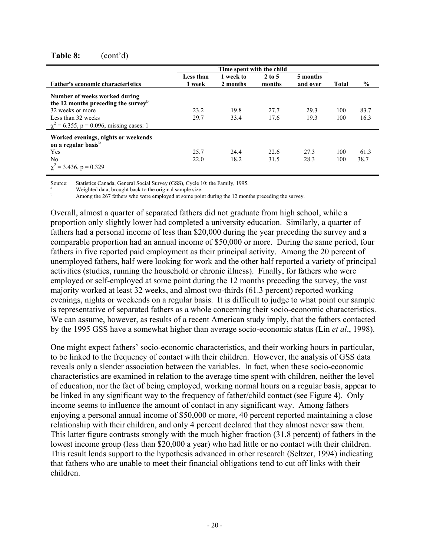#### **Table 8:** (cont'd)

| <b>Father's economic characteristics</b>                                         | Less than<br>1 week | 1 week to<br>2 months | $2$ to 5<br>months | 5 months<br>and over | Total | $\%$ |
|----------------------------------------------------------------------------------|---------------------|-----------------------|--------------------|----------------------|-------|------|
| Number of weeks worked during<br>the 12 months preceding the survey <sup>b</sup> |                     |                       |                    |                      |       |      |
| 32 weeks or more                                                                 | 23.2                | 19.8                  | 27.7               | 29.3                 | 100   | 83.7 |
| Less than 32 weeks                                                               | 29.7                | 33.4                  | 17.6               | 19.3                 | 100   | 16.3 |
| $\chi^2$ = 6.355, p = 0.096, missing cases: 1                                    |                     |                       |                    |                      |       |      |
| Worked evenings, nights or weekends<br>on a regular basis <sup>b</sup>           |                     |                       |                    |                      |       |      |
| Yes                                                                              | 25.7                | 24.4                  | 22.6               | 27.3                 | 100   | 61.3 |
| N <sub>0</sub>                                                                   | 22.0                | 18.2                  | 31.5               | 28.3                 | 100   | 38.7 |
| $\chi^2$ = 3.436, p = 0.329                                                      |                     |                       |                    |                      |       |      |

Source: Statistics Canada, General Social Survey (GSS), Cycle 10: the Family, 1995.

Weighted data, brought back to the original sample size.

Among the 267 fathers who were employed at some point during the 12 months preceding the survey.

Overall, almost a quarter of separated fathers did not graduate from high school, while a proportion only slightly lower had completed a university education. Similarly, a quarter of fathers had a personal income of less than \$20,000 during the year preceding the survey and a comparable proportion had an annual income of \$50,000 or more. During the same period, four fathers in five reported paid employment as their principal activity. Among the 20 percent of unemployed fathers, half were looking for work and the other half reported a variety of principal activities (studies, running the household or chronic illness). Finally, for fathers who were employed or self-employed at some point during the 12 months preceding the survey, the vast majority worked at least 32 weeks, and almost two-thirds (61.3 percent) reported working evenings, nights or weekends on a regular basis. It is difficult to judge to what point our sample is representative of separated fathers as a whole concerning their socio-economic characteristics. We can assume, however, as results of a recent American study imply, that the fathers contacted by the 1995 GSS have a somewhat higher than average socio-economic status (Lin *et al*., 1998).

One might expect fathers' socio-economic characteristics, and their working hours in particular, to be linked to the frequency of contact with their children. However, the analysis of GSS data reveals only a slender association between the variables. In fact, when these socio-economic characteristics are examined in relation to the average time spent with children, neither the level of education, nor the fact of being employed, working normal hours on a regular basis, appear to be linked in any significant way to the frequency of father/child contact (see Figure 4). Only income seems to influence the amount of contact in any significant way. Among fathers enjoying a personal annual income of \$50,000 or more, 40 percent reported maintaining a close relationship with their children, and only 4 percent declared that they almost never saw them. This latter figure contrasts strongly with the much higher fraction (31.8 percent) of fathers in the lowest income group (less than \$20,000 a year) who had little or no contact with their children. This result lends support to the hypothesis advanced in other research (Seltzer, 1994) indicating that fathers who are unable to meet their financial obligations tend to cut off links with their children.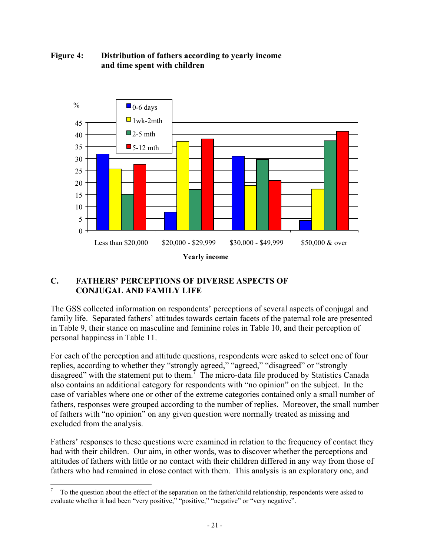

#### **Figure 4: Distribution of fathers according to yearly income and time spent with children**

#### **C. FATHERS' PERCEPTIONS OF DIVERSE ASPECTS OF CONJUGAL AND FAMILY LIFE**

 $\overline{a}$ 

The GSS collected information on respondents' perceptions of several aspects of conjugal and family life. Separated fathers' attitudes towards certain facets of the paternal role are presented in Table 9, their stance on masculine and feminine roles in Table 10, and their perception of personal happiness in Table 11.

For each of the perception and attitude questions, respondents were asked to select one of four replies, according to whether they "strongly agreed," "agreed," "disagreed" or "strongly disagreed" with the statement put to them.<sup>7</sup> The micro-data file produced by Statistics Canada also contains an additional category for respondents with "no opinion" on the subject. In the case of variables where one or other of the extreme categories contained only a small number of fathers, responses were grouped according to the number of replies. Moreover, the small number of fathers with "no opinion" on any given question were normally treated as missing and excluded from the analysis.

Fathers' responses to these questions were examined in relation to the frequency of contact they had with their children. Our aim, in other words, was to discover whether the perceptions and attitudes of fathers with little or no contact with their children differed in any way from those of fathers who had remained in close contact with them. This analysis is an exploratory one, and

<sup>7</sup> To the question about the effect of the separation on the father/child relationship, respondents were asked to evaluate whether it had been "very positive," "positive," "negative" or "very negative".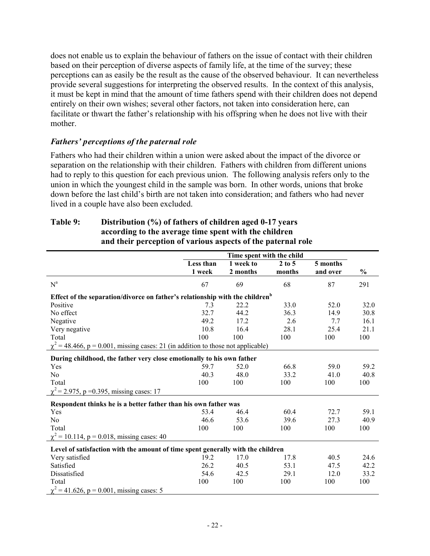does not enable us to explain the behaviour of fathers on the issue of contact with their children based on their perception of diverse aspects of family life, at the time of the survey; these perceptions can as easily be the result as the cause of the observed behaviour. It can nevertheless provide several suggestions for interpreting the observed results. In the context of this analysis, it must be kept in mind that the amount of time fathers spend with their children does not depend entirely on their own wishes; several other factors, not taken into consideration here, can facilitate or thwart the father's relationship with his offspring when he does not live with their mother.

#### *Fathers' perceptions of the paternal role*

Fathers who had their children within a union were asked about the impact of the divorce or separation on the relationship with their children. Fathers with children from different unions had to reply to this question for each previous union. The following analysis refers only to the union in which the youngest child in the sample was born. In other words, unions that broke down before the last child's birth are not taken into consideration; and fathers who had never lived in a couple have also been excluded.

|                                                                                          | Time spent with the child |           |          |          |               |  |
|------------------------------------------------------------------------------------------|---------------------------|-----------|----------|----------|---------------|--|
|                                                                                          | Less than                 | 1 week to | $2$ to 5 | 5 months |               |  |
|                                                                                          | 1 week                    | 2 months  | months   | and over | $\frac{0}{0}$ |  |
| $N^a$                                                                                    | 67                        | 69        | 68       | 87       | 291           |  |
| Effect of the separation/divorce on father's relationship with the children <sup>b</sup> |                           |           |          |          |               |  |
| Positive                                                                                 | 7.3                       | 22.2      | 33.0     | 52.0     | 32.0          |  |
| No effect                                                                                | 32.7                      | 44.2      | 36.3     | 14.9     | 30.8          |  |
| Negative                                                                                 | 49.2                      | 17.2      | 2.6      | 7.7      | 16.1          |  |
| Very negative                                                                            | 10.8                      | 16.4      | 28.1     | 25.4     | 21.1          |  |
| Total                                                                                    | 100                       | 100       | 100      | 100      | 100           |  |
| $\chi^2$ = 48.466, p = 0.001, missing cases: 21 (in addition to those not applicable)    |                           |           |          |          |               |  |
| During childhood, the father very close emotionally to his own father                    |                           |           |          |          |               |  |
| Yes                                                                                      | 59.7                      | 52.0      | 66.8     | 59.0     | 59.2          |  |
| N <sub>0</sub>                                                                           | 40.3                      | 48.0      | 33.2     | 41.0     | 40.8          |  |
| Total                                                                                    | 100                       | 100       | 100      | 100      | 100           |  |
| $\chi^2$ = 2.975, p = 0.395, missing cases: 17                                           |                           |           |          |          |               |  |
| Respondent thinks he is a better father than his own father was                          |                           |           |          |          |               |  |
| Yes                                                                                      | 53.4                      | 46.4      | 60.4     | 72.7     | 59.1          |  |
| N <sub>0</sub>                                                                           | 46.6                      | 53.6      | 39.6     | 27.3     | 40.9          |  |
| Total                                                                                    | 100                       | 100       | 100      | 100      | 100           |  |
| $\chi^2$ = 10.114, p = 0.018, missing cases: 40                                          |                           |           |          |          |               |  |
|                                                                                          |                           |           |          |          |               |  |
| Level of satisfaction with the amount of time spent generally with the children          |                           |           |          |          |               |  |
| Very satisfied                                                                           | 19.2                      | 17.0      | 17.8     | 40.5     | 24.6          |  |
| Satisfied                                                                                | 26.2                      | 40.5      | 53.1     | 47.5     | 42.2          |  |
| Dissatisfied                                                                             | 54.6                      | 42.5      | 29.1     | 12.0     | 33.2          |  |
| Total                                                                                    | 100                       | 100       | 100      | 100      | 100           |  |
| $\chi^2$ = 41.626, p = 0.001, missing cases: 5                                           |                           |           |          |          |               |  |

#### **Table 9: Distribution (%) of fathers of children aged 0-17 years according to the average time spent with the children and their perception of various aspects of the paternal role**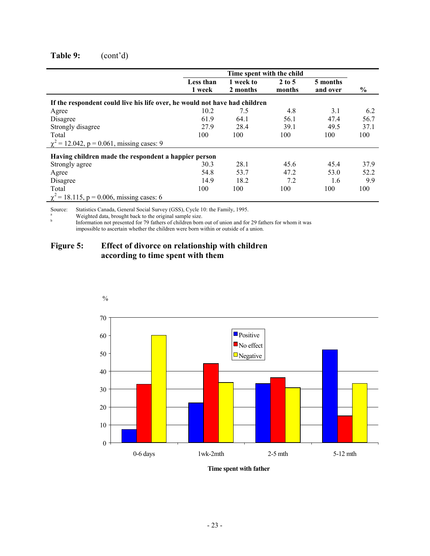### **Table 9:** (cont'd)

|                                                                            |                     | Time spent with the child |                    |                      |      |
|----------------------------------------------------------------------------|---------------------|---------------------------|--------------------|----------------------|------|
|                                                                            | Less than<br>1 week | 1 week to<br>2 months     | $2$ to 5<br>months | 5 months<br>and over | $\%$ |
| If the respondent could live his life over, he would not have had children |                     |                           |                    |                      |      |
| Agree                                                                      | 10.2                | 7.5                       | 4.8                | 3.1                  | 6.2  |
| Disagree                                                                   | 61.9                | 64.1                      | 56.1               | 47.4                 | 56.7 |
| Strongly disagree                                                          | 27.9                | 28.4                      | 39.1               | 49.5                 | 37.1 |
| Total                                                                      | 100                 | 100                       | 100                | 100                  | 100  |
| $\chi^2$ = 12.042, p = 0.061, missing cases: 9                             |                     |                           |                    |                      |      |
| Having children made the respondent a happier person                       |                     |                           |                    |                      |      |
| Strongly agree                                                             | 30.3                | 28.1                      | 45.6               | 45.4                 | 37.9 |
| Agree                                                                      | 54.8                | 53.7                      | 47.2               | 53.0                 | 52.2 |
| Disagree                                                                   | 14.9                | 18.2                      | 7.2                | 1.6                  | 9.9  |
| Total                                                                      | 100                 | 100                       | 100                | 100                  | 100  |
| $\chi^2$ = 18.115, p = 0.006, missing cases: 6                             |                     |                           |                    |                      |      |

Source: Statistics Canada, General Social Survey (GSS), Cycle 10: the Family, 1995.

<sup>a</sup> Weighted data, brought back to the original sample size.

b Information not presented for 79 fathers of children born out of union and for 29 fathers for whom it was impossible to ascertain whether the children were born within or outside of a union.

### **Figure 5: Effect of divorce on relationship with children according to time spent with them**



**Time spent with father**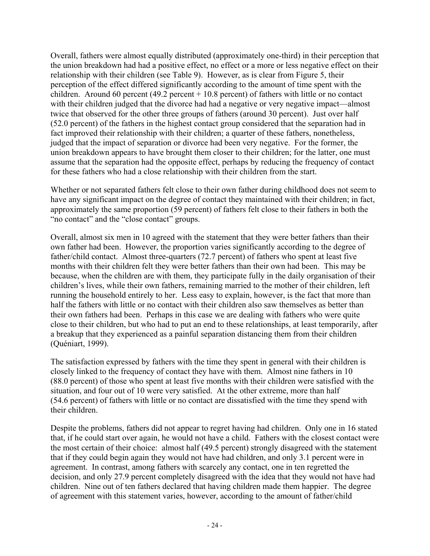Overall, fathers were almost equally distributed (approximately one-third) in their perception that the union breakdown had had a positive effect, no effect or a more or less negative effect on their relationship with their children (see Table 9). However, as is clear from Figure 5, their perception of the effect differed significantly according to the amount of time spent with the children. Around 60 percent (49.2 percent  $+10.8$  percent) of fathers with little or no contact with their children judged that the divorce had had a negative or very negative impact—almost twice that observed for the other three groups of fathers (around 30 percent). Just over half (52.0 percent) of the fathers in the highest contact group considered that the separation had in fact improved their relationship with their children; a quarter of these fathers, nonetheless, judged that the impact of separation or divorce had been very negative. For the former, the union breakdown appears to have brought them closer to their children; for the latter, one must assume that the separation had the opposite effect, perhaps by reducing the frequency of contact for these fathers who had a close relationship with their children from the start.

Whether or not separated fathers felt close to their own father during childhood does not seem to have any significant impact on the degree of contact they maintained with their children; in fact, approximately the same proportion (59 percent) of fathers felt close to their fathers in both the "no contact" and the "close contact" groups.

Overall, almost six men in 10 agreed with the statement that they were better fathers than their own father had been. However, the proportion varies significantly according to the degree of father/child contact. Almost three-quarters (72.7 percent) of fathers who spent at least five months with their children felt they were better fathers than their own had been. This may be because, when the children are with them, they participate fully in the daily organisation of their children's lives, while their own fathers, remaining married to the mother of their children, left running the household entirely to her. Less easy to explain, however, is the fact that more than half the fathers with little or no contact with their children also saw themselves as better than their own fathers had been. Perhaps in this case we are dealing with fathers who were quite close to their children, but who had to put an end to these relationships, at least temporarily, after a breakup that they experienced as a painful separation distancing them from their children (Quéniart, 1999).

The satisfaction expressed by fathers with the time they spent in general with their children is closely linked to the frequency of contact they have with them. Almost nine fathers in 10 (88.0 percent) of those who spent at least five months with their children were satisfied with the situation, and four out of 10 were very satisfied. At the other extreme, more than half (54.6 percent) of fathers with little or no contact are dissatisfied with the time they spend with their children.

Despite the problems, fathers did not appear to regret having had children. Only one in 16 stated that, if he could start over again, he would not have a child. Fathers with the closest contact were the most certain of their choice: almost half (49.5 percent) strongly disagreed with the statement that if they could begin again they would not have had children, and only 3.1 percent were in agreement. In contrast, among fathers with scarcely any contact, one in ten regretted the decision, and only 27.9 percent completely disagreed with the idea that they would not have had children. Nine out of ten fathers declared that having children made them happier. The degree of agreement with this statement varies, however, according to the amount of father/child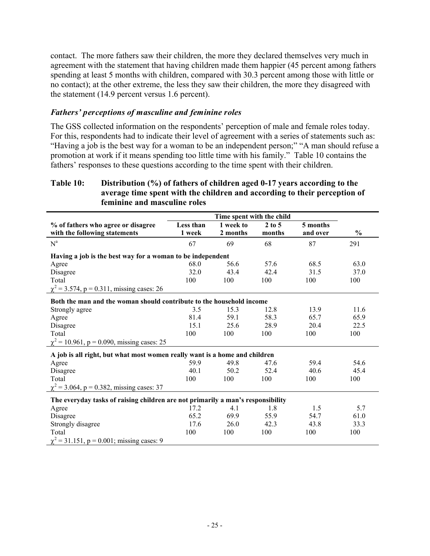contact. The more fathers saw their children, the more they declared themselves very much in agreement with the statement that having children made them happier (45 percent among fathers spending at least 5 months with children, compared with 30.3 percent among those with little or no contact); at the other extreme, the less they saw their children, the more they disagreed with the statement (14.9 percent versus 1.6 percent).

#### *Fathers' perceptions of masculine and feminine roles*

The GSS collected information on the respondents' perception of male and female roles today. For this, respondents had to indicate their level of agreement with a series of statements such as: "Having a job is the best way for a woman to be an independent person;" "A man should refuse a promotion at work if it means spending too little time with his family." Table 10 contains the fathers' responses to these questions according to the time spent with their children.

#### **Table 10: Distribution (%) of fathers of children aged 0-17 years according to the average time spent with the children and according to their perception of feminine and masculine roles**

| % of fathers who agree or disagree                                              | Less than | 1 week to | $2$ to 5 | 5 months |               |
|---------------------------------------------------------------------------------|-----------|-----------|----------|----------|---------------|
| with the following statements                                                   | 1 week    | 2 months  | months   | and over | $\frac{0}{0}$ |
| $N^a$                                                                           | 67        | 69        | 68       | 87       | 291           |
| Having a job is the best way for a woman to be independent                      |           |           |          |          |               |
| Agree                                                                           | 68.0      | 56.6      | 57.6     | 68.5     | 63.0          |
| Disagree                                                                        | 32.0      | 43.4      | 42.4     | 31.5     | 37.0          |
| Total                                                                           | 100       | 100       | 100      | 100      | 100           |
| $\chi^2$ = 3.574, p = 0.311, missing cases: 26                                  |           |           |          |          |               |
| Both the man and the woman should contribute to the household income            |           |           |          |          |               |
| Strongly agree                                                                  | 3.5       | 15.3      | 12.8     | 13.9     | 11.6          |
| Agree                                                                           | 81.4      | 59.1      | 58.3     | 65.7     | 65.9          |
| Disagree                                                                        | 15.1      | 25.6      | 28.9     | 20.4     | 22.5          |
| Total                                                                           | 100       | 100       | 100      | 100      | 100           |
| $\chi^2$ = 10.961, p = 0.090, missing cases: 25                                 |           |           |          |          |               |
| A job is all right, but what most women really want is a home and children      |           |           |          |          |               |
| Agree                                                                           | 59.9      | 49.8      | 47.6     | 59.4     | 54.6          |
| Disagree                                                                        | 40.1      | 50.2      | 52.4     | 40.6     | 45.4          |
| Total                                                                           | 100       | 100       | 100      | 100      | 100           |
| $\chi^2$ = 3.064, p = 0.382, missing cases: 37                                  |           |           |          |          |               |
| The everyday tasks of raising children are not primarily a man's responsibility |           |           |          |          |               |
| Agree                                                                           | 17.2      | 4.1       | 1.8      | 1.5      | 5.7           |
| Disagree                                                                        | 65.2      | 69.9      | 55.9     | 54.7     | 61.0          |
| Strongly disagree                                                               | 17.6      | 26.0      | 42.3     | 43.8     | 33.3          |
| Total                                                                           | 100       | 100       | 100      | 100      | 100           |
| $\chi^2$ = 31.151, p = 0.001; missing cases: 9                                  |           |           |          |          |               |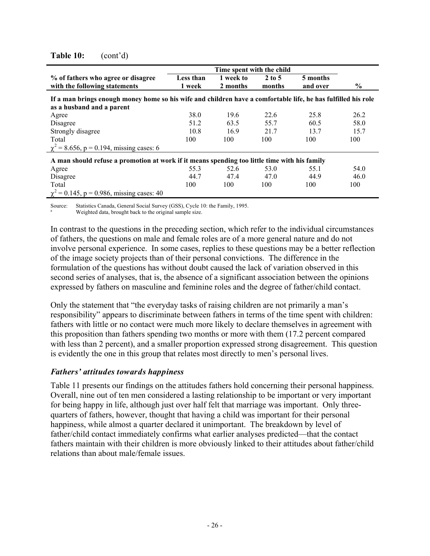|                                                                                                               | Time spent with the child |                       |                    |                      |      |  |  |
|---------------------------------------------------------------------------------------------------------------|---------------------------|-----------------------|--------------------|----------------------|------|--|--|
| % of fathers who agree or disagree<br>with the following statements                                           | Less than<br>1 week       | 1 week to<br>2 months | $2$ to 5<br>months | 5 months<br>and over | $\%$ |  |  |
| If a man brings enough money home so his wife and children have a comfortable life, he has fulfilled his role |                           |                       |                    |                      |      |  |  |
| as a husband and a parent                                                                                     |                           |                       |                    |                      |      |  |  |
| Agree                                                                                                         | 38.0                      | 19.6                  | 22.6               | 25.8                 | 26.2 |  |  |
| Disagree                                                                                                      | 51.2                      | 63.5                  | 55.7               | 60.5                 | 58.0 |  |  |
| Strongly disagree                                                                                             | 10.8                      | 16.9                  | 21.7               | 13.7                 | 15.7 |  |  |
| Total                                                                                                         | 100                       | 100                   | 100                | 100                  | 100  |  |  |
| $\chi^2$ = 8.656, p = 0.194, missing cases: 6                                                                 |                           |                       |                    |                      |      |  |  |
| A man should refuse a promotion at work if it means spending too little time with his family                  |                           |                       |                    |                      |      |  |  |
| Agree                                                                                                         | 55.3                      | 52.6                  | 53.0               | 55.1                 | 54.0 |  |  |
| Disagree                                                                                                      | 44.7                      | 47.4                  | 47.0               | 44.9                 | 46.0 |  |  |
| Total                                                                                                         | 100                       | 100                   | 100                | 100                  | 100  |  |  |
| $\chi^2$ = 0.145, p = 0.986, missing cases: 40                                                                |                           |                       |                    |                      |      |  |  |

#### **Table 10:** (cont'd)

Source: Statistics Canada, General Social Survey (GSS), Cycle 10: the Family, 1995.

Weighted data, brought back to the original sample size.

In contrast to the questions in the preceding section, which refer to the individual circumstances of fathers, the questions on male and female roles are of a more general nature and do not involve personal experience. In some cases, replies to these questions may be a better reflection of the image society projects than of their personal convictions. The difference in the formulation of the questions has without doubt caused the lack of variation observed in this second series of analyses, that is, the absence of a significant association between the opinions expressed by fathers on masculine and feminine roles and the degree of father/child contact.

Only the statement that "the everyday tasks of raising children are not primarily a man's responsibility" appears to discriminate between fathers in terms of the time spent with children: fathers with little or no contact were much more likely to declare themselves in agreement with this proposition than fathers spending two months or more with them (17.2 percent compared with less than 2 percent), and a smaller proportion expressed strong disagreement. This question is evidently the one in this group that relates most directly to men's personal lives.

### *Fathers' attitudes towards happiness*

Table 11 presents our findings on the attitudes fathers hold concerning their personal happiness. Overall, nine out of ten men considered a lasting relationship to be important or very important for being happy in life, although just over half felt that marriage was important. Only threequarters of fathers, however, thought that having a child was important for their personal happiness, while almost a quarter declared it unimportant. The breakdown by level of father/child contact immediately confirms what earlier analyses predicted—that the contact fathers maintain with their children is more obviously linked to their attitudes about father/child relations than about male/female issues.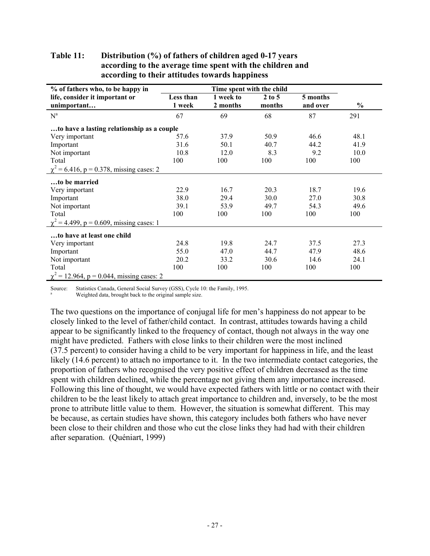| % of fathers who, to be happy in               |                     | Time spent with the child |                    |                      |               |  |  |
|------------------------------------------------|---------------------|---------------------------|--------------------|----------------------|---------------|--|--|
| life, consider it important or<br>unimportant  | Less than<br>1 week | 1 week to<br>2 months     | $2$ to 5<br>months | 5 months<br>and over | $\frac{0}{0}$ |  |  |
| $N^a$                                          | 67                  | 69                        | 68                 | 87                   | 291           |  |  |
| to have a lasting relationship as a couple     |                     |                           |                    |                      |               |  |  |
| Very important                                 | 57.6                | 37.9                      | 50.9               | 46.6                 | 48.1          |  |  |
| Important                                      | 31.6                | 50.1                      | 40.7               | 44.2                 | 41.9          |  |  |
| Not important                                  | 10.8                | 12.0                      | 8.3                | 9.2                  | 10.0          |  |  |
| Total                                          | 100                 | 100                       | 100                | 100                  | 100           |  |  |
| $\chi^2$ = 6.416, p = 0.378, missing cases: 2  |                     |                           |                    |                      |               |  |  |
| to be married                                  |                     |                           |                    |                      |               |  |  |
| Very important                                 | 22.9                | 16.7                      | 20.3               | 18.7                 | 19.6          |  |  |
| Important                                      | 38.0                | 29.4                      | 30.0               | 27.0                 | 30.8          |  |  |
| Not important                                  | 39.1                | 53.9                      | 49.7               | 54.3                 | 49.6          |  |  |
| Total                                          | 100                 | 100                       | 100                | 100                  | 100           |  |  |
| $\chi^2$ = 4.499, p = 0.609, missing cases: 1  |                     |                           |                    |                      |               |  |  |
| to have at least one child                     |                     |                           |                    |                      |               |  |  |
| Very important                                 | 24.8                | 19.8                      | 24.7               | 37.5                 | 27.3          |  |  |
| Important                                      | 55.0                | 47.0                      | 44.7               | 47.9                 | 48.6          |  |  |
| Not important                                  | 20.2                | 33.2                      | 30.6               | 14.6                 | 24.1          |  |  |
| Total                                          | 100                 | 100                       | 100                | 100                  | 100           |  |  |
| $\chi^2$ = 12.964, p = 0.044, missing cases: 2 |                     |                           |                    |                      |               |  |  |

### **Table 11: Distribution (%) of fathers of children aged 0-17 years according to the average time spent with the children and according to their attitudes towards happiness**

Source: Statistics Canada, General Social Survey (GSS), Cycle 10: the Family, 1995. Weighted data, brought back to the original sample size.

The two questions on the importance of conjugal life for men's happiness do not appear to be closely linked to the level of father/child contact. In contrast, attitudes towards having a child appear to be significantly linked to the frequency of contact, though not always in the way one might have predicted. Fathers with close links to their children were the most inclined (37.5 percent) to consider having a child to be very important for happiness in life, and the least likely (14.6 percent) to attach no importance to it. In the two intermediate contact categories, the proportion of fathers who recognised the very positive effect of children decreased as the time spent with children declined, while the percentage not giving them any importance increased. Following this line of thought, we would have expected fathers with little or no contact with their children to be the least likely to attach great importance to children and, inversely, to be the most prone to attribute little value to them. However, the situation is somewhat different. This may be because, as certain studies have shown, this category includes both fathers who have never been close to their children and those who cut the close links they had had with their children after separation. (Quéniart, 1999)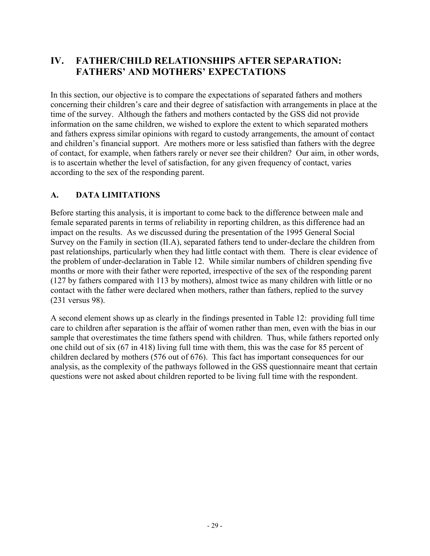# **IV. FATHER/CHILD RELATIONSHIPS AFTER SEPARATION: FATHERS' AND MOTHERS' EXPECTATIONS**

In this section, our objective is to compare the expectations of separated fathers and mothers concerning their children's care and their degree of satisfaction with arrangements in place at the time of the survey. Although the fathers and mothers contacted by the GSS did not provide information on the same children, we wished to explore the extent to which separated mothers and fathers express similar opinions with regard to custody arrangements, the amount of contact and children's financial support. Are mothers more or less satisfied than fathers with the degree of contact, for example, when fathers rarely or never see their children? Our aim, in other words, is to ascertain whether the level of satisfaction, for any given frequency of contact, varies according to the sex of the responding parent.

# **A. DATA LIMITATIONS**

Before starting this analysis, it is important to come back to the difference between male and female separated parents in terms of reliability in reporting children, as this difference had an impact on the results. As we discussed during the presentation of the 1995 General Social Survey on the Family in section (II.A), separated fathers tend to under-declare the children from past relationships, particularly when they had little contact with them. There is clear evidence of the problem of under-declaration in Table 12. While similar numbers of children spending five months or more with their father were reported, irrespective of the sex of the responding parent (127 by fathers compared with 113 by mothers), almost twice as many children with little or no contact with the father were declared when mothers, rather than fathers, replied to the survey (231 versus 98).

A second element shows up as clearly in the findings presented in Table 12: providing full time care to children after separation is the affair of women rather than men, even with the bias in our sample that overestimates the time fathers spend with children. Thus, while fathers reported only one child out of six (67 in 418) living full time with them, this was the case for 85 percent of children declared by mothers (576 out of 676). This fact has important consequences for our analysis, as the complexity of the pathways followed in the GSS questionnaire meant that certain questions were not asked about children reported to be living full time with the respondent.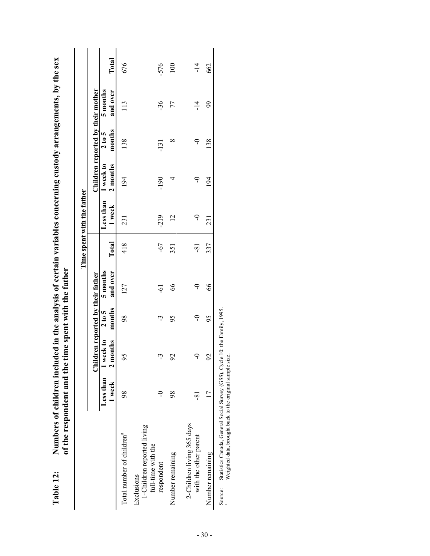|                                                                                                                                                    | of the respondent and the |                                   |                  | time spent with the father |       | Time spent with the father |                       |                                   |                      |        |
|----------------------------------------------------------------------------------------------------------------------------------------------------|---------------------------|-----------------------------------|------------------|----------------------------|-------|----------------------------|-----------------------|-----------------------------------|----------------------|--------|
|                                                                                                                                                    |                           | Children reported by their father |                  |                            |       |                            |                       | Children reported by their mother |                      |        |
|                                                                                                                                                    | Less than<br>1 week       | I week to<br>2 months             | months<br>2 to 5 | and over<br>5 months       | Total | Less than<br>1 week        | 1 week to<br>2 months | months<br>2 to 5                  | and over<br>5 months | Total  |
| Total number of children <sup>a</sup>                                                                                                              | 98                        | 56                                | 98               | 127                        | 418   | 231                        | 194                   | 138                               | 113                  | 676    |
| 1-Children reported living<br>full-time with the<br>Exclusions                                                                                     |                           |                                   |                  |                            |       |                            |                       |                                   |                      |        |
| respondent                                                                                                                                         | ငှ                        | لى                                | لى               | ငှ                         | $-67$ | $-219$                     | $-190$                | $-131$                            | $-36$                | $-576$ |
| Number remaining                                                                                                                                   | 98                        | $\mathcal{S}$                     | 95               | 66                         | 351   | $\overline{2}$             | 4                     | ∞                                 | 77                   | 100    |
| 2-Children living 365 days<br>with the other parent                                                                                                | $-81$                     | ခု                                | $\Rightarrow$    | $\cup$                     | $-81$ | $\circ$                    | $\overline{C}$        | $\overline{C}$                    | $\frac{1}{4}$        | $-14$  |
| Number remaining                                                                                                                                   |                           | $\mathcal{S}$                     | 95               | 66                         | 337   | 231                        | 194                   | 138                               | 99                   | 662    |
| Statistics Canada, General Social Survey (GSS), Cycle 10: the Family, 1995.<br>Weighted data, brought back to the original sample size.<br>Source: |                           |                                   |                  |                            |       |                            |                       |                                   |                      |        |

Numbers of children included in the analysis of certain variables concerning custody arrangements, by the sex **Table 12: Numbers of children included in the analysis of certain variables concerning custody arrangements, by the sex** Table 12: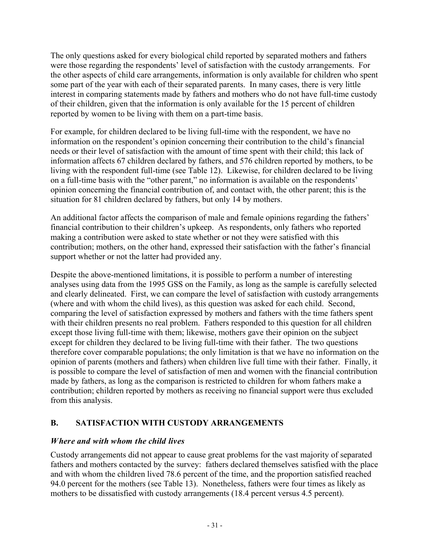The only questions asked for every biological child reported by separated mothers and fathers were those regarding the respondents' level of satisfaction with the custody arrangements. For the other aspects of child care arrangements, information is only available for children who spent some part of the year with each of their separated parents. In many cases, there is very little interest in comparing statements made by fathers and mothers who do not have full-time custody of their children, given that the information is only available for the 15 percent of children reported by women to be living with them on a part-time basis.

For example, for children declared to be living full-time with the respondent, we have no information on the respondent's opinion concerning their contribution to the child's financial needs or their level of satisfaction with the amount of time spent with their child; this lack of information affects 67 children declared by fathers, and 576 children reported by mothers, to be living with the respondent full-time (see Table 12). Likewise, for children declared to be living on a full-time basis with the "other parent," no information is available on the respondents' opinion concerning the financial contribution of, and contact with, the other parent; this is the situation for 81 children declared by fathers, but only 14 by mothers.

An additional factor affects the comparison of male and female opinions regarding the fathers' financial contribution to their children's upkeep. As respondents, only fathers who reported making a contribution were asked to state whether or not they were satisfied with this contribution; mothers, on the other hand, expressed their satisfaction with the father's financial support whether or not the latter had provided any.

Despite the above-mentioned limitations, it is possible to perform a number of interesting analyses using data from the 1995 GSS on the Family, as long as the sample is carefully selected and clearly delineated. First, we can compare the level of satisfaction with custody arrangements (where and with whom the child lives), as this question was asked for each child. Second, comparing the level of satisfaction expressed by mothers and fathers with the time fathers spent with their children presents no real problem. Fathers responded to this question for all children except those living full-time with them; likewise, mothers gave their opinion on the subject except for children they declared to be living full-time with their father. The two questions therefore cover comparable populations; the only limitation is that we have no information on the opinion of parents (mothers and fathers) when children live full time with their father. Finally, it is possible to compare the level of satisfaction of men and women with the financial contribution made by fathers, as long as the comparison is restricted to children for whom fathers make a contribution; children reported by mothers as receiving no financial support were thus excluded from this analysis.

# **B. SATISFACTION WITH CUSTODY ARRANGEMENTS**

# *Where and with whom the child lives*

Custody arrangements did not appear to cause great problems for the vast majority of separated fathers and mothers contacted by the survey: fathers declared themselves satisfied with the place and with whom the children lived 78.6 percent of the time, and the proportion satisfied reached 94.0 percent for the mothers (see Table 13). Nonetheless, fathers were four times as likely as mothers to be dissatisfied with custody arrangements (18.4 percent versus 4.5 percent).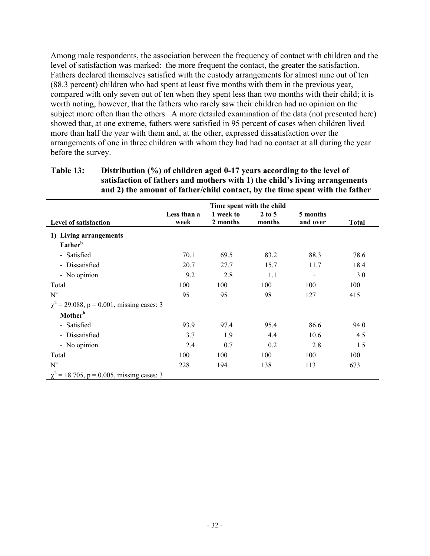Among male respondents, the association between the frequency of contact with children and the level of satisfaction was marked: the more frequent the contact, the greater the satisfaction. Fathers declared themselves satisfied with the custody arrangements for almost nine out of ten (88.3 percent) children who had spent at least five months with them in the previous year, compared with only seven out of ten when they spent less than two months with their child; it is worth noting, however, that the fathers who rarely saw their children had no opinion on the subject more often than the others. A more detailed examination of the data (not presented here) showed that, at one extreme, fathers were satisfied in 95 percent of cases when children lived more than half the year with them and, at the other, expressed dissatisfaction over the arrangements of one in three children with whom they had had no contact at all during the year before the survey.

#### **Table 13: Distribution (%) of children aged 0-17 years according to the level of satisfaction of fathers and mothers with 1) the child's living arrangements and 2) the amount of father/child contact, by the time spent with the father**

| Level of satisfaction                          | Less than a<br>week | 1 week to<br>2 months | $2$ to 5<br>months | 5 months<br>and over | <b>Total</b> |
|------------------------------------------------|---------------------|-----------------------|--------------------|----------------------|--------------|
| 1) Living arrangements<br>Father <sup>b</sup>  |                     |                       |                    |                      |              |
| - Satisfied                                    | 70.1                | 69.5                  | 83.2               | 88.3                 | 78.6         |
| - Dissatisfied                                 | 20.7                | 27.7                  | 15.7               | 11.7                 | 18.4         |
| - No opinion                                   | 9.2                 | 2.8                   | 1.1                |                      | 3.0          |
| Total                                          | 100                 | 100                   | 100                | 100                  | 100          |
| $N^c$                                          | 95                  | 95                    | 98                 | 127                  | 415          |
| $\chi^2$ = 29.088, p = 0.001, missing cases: 3 |                     |                       |                    |                      |              |
| Mother <sup>b</sup>                            |                     |                       |                    |                      |              |
| - Satisfied                                    | 93.9                | 97.4                  | 95.4               | 86.6                 | 94.0         |
| - Dissatisfied                                 | 3.7                 | 1.9                   | 4.4                | 10.6                 | 4.5          |
| - No opinion                                   | 2.4                 | 0.7                   | 0.2                | 2.8                  | 1.5          |
| Total                                          | 100                 | 100                   | 100                | 100                  | 100          |
| $N^c$                                          | 228                 | 194                   | 138                | 113                  | 673          |
| $\chi^2$ = 18.705, p = 0.005, missing cases: 3 |                     |                       |                    |                      |              |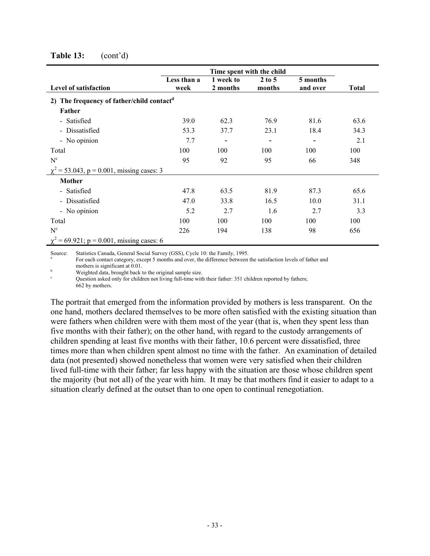|                                                       | Time spent with the child |                       |                    |                      |       |  |
|-------------------------------------------------------|---------------------------|-----------------------|--------------------|----------------------|-------|--|
| <b>Level of satisfaction</b>                          | Less than a<br>week       | 1 week to<br>2 months | $2$ to 5<br>months | 5 months<br>and over | Total |  |
| 2) The frequency of father/child contact <sup>d</sup> |                           |                       |                    |                      |       |  |
| Father                                                |                           |                       |                    |                      |       |  |
| - Satisfied                                           | 39.0                      | 62.3                  | 76.9               | 81.6                 | 63.6  |  |
| - Dissatisfied                                        | 53.3                      | 37.7                  | 23.1               | 18.4                 | 34.3  |  |
| - No opinion                                          | 7.7                       |                       |                    |                      | 2.1   |  |
| Total                                                 | 100                       | 100                   | 100                | 100                  | 100   |  |
| $N^c$                                                 | 95                        | 92                    | 95                 | 66                   | 348   |  |
| $\chi^2$ = 53.043, p = 0.001, missing cases: 3        |                           |                       |                    |                      |       |  |
| Mother                                                |                           |                       |                    |                      |       |  |
| - Satisfied                                           | 47.8                      | 63.5                  | 81.9               | 87.3                 | 65.6  |  |
| - Dissatisfied                                        | 47.0                      | 33.8                  | 16.5               | 10.0                 | 31.1  |  |
| - No opinion                                          | 5.2                       | 2.7                   | 1.6                | 2.7                  | 3.3   |  |
| Total                                                 | 100                       | 100                   | 100                | 100                  | 100   |  |
| $N^{c}$                                               | 226                       | 194                   | 138                | 98                   | 656   |  |
| $\chi^2$ = 69.921; p = 0.001, missing cases: 6        |                           |                       |                    |                      |       |  |

#### **Table 13:** (cont'd)

Source: Statistics Canada, General Social Survey (GSS), Cycle 10: the Family, 1995.

For each contact category, except 5 months and over, the difference between the satisfaction levels of father and mothers is significant at 0.01.

**b** Weighted data, brought back to the original sample size.

Question asked only for children not living full-time with their father: 351 children reported by fathers; 662 by mothers.

The portrait that emerged from the information provided by mothers is less transparent. On the one hand, mothers declared themselves to be more often satisfied with the existing situation than were fathers when children were with them most of the year (that is, when they spent less than five months with their father); on the other hand, with regard to the custody arrangements of children spending at least five months with their father, 10.6 percent were dissatisfied, three times more than when children spent almost no time with the father. An examination of detailed data (not presented) showed nonetheless that women were very satisfied when their children lived full-time with their father; far less happy with the situation are those whose children spent the majority (but not all) of the year with him. It may be that mothers find it easier to adapt to a situation clearly defined at the outset than to one open to continual renegotiation.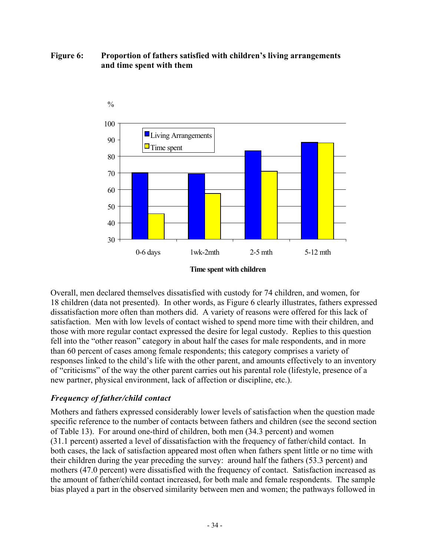### **Figure 6: Proportion of fathers satisfied with children's living arrangements and time spent with them**



**Time spent with children**

Overall, men declared themselves dissatisfied with custody for 74 children, and women, for 18 children (data not presented). In other words, as Figure 6 clearly illustrates, fathers expressed dissatisfaction more often than mothers did. A variety of reasons were offered for this lack of satisfaction. Men with low levels of contact wished to spend more time with their children, and those with more regular contact expressed the desire for legal custody. Replies to this question fell into the "other reason" category in about half the cases for male respondents, and in more than 60 percent of cases among female respondents; this category comprises a variety of responses linked to the child's life with the other parent, and amounts effectively to an inventory of "criticisms" of the way the other parent carries out his parental role (lifestyle, presence of a new partner, physical environment, lack of affection or discipline, etc.).

# *Frequency of father/child contact*

Mothers and fathers expressed considerably lower levels of satisfaction when the question made specific reference to the number of contacts between fathers and children (see the second section of Table 13). For around one-third of children, both men (34.3 percent) and women (31.1 percent) asserted a level of dissatisfaction with the frequency of father/child contact. In both cases, the lack of satisfaction appeared most often when fathers spent little or no time with their children during the year preceding the survey: around half the fathers (53.3 percent) and mothers (47.0 percent) were dissatisfied with the frequency of contact. Satisfaction increased as the amount of father/child contact increased, for both male and female respondents. The sample bias played a part in the observed similarity between men and women; the pathways followed in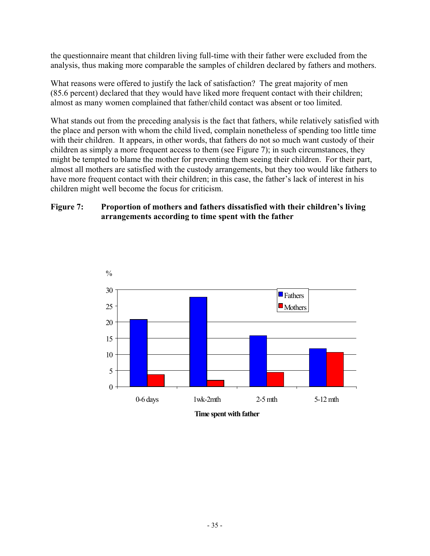the questionnaire meant that children living full-time with their father were excluded from the analysis, thus making more comparable the samples of children declared by fathers and mothers.

What reasons were offered to justify the lack of satisfaction? The great majority of men (85.6 percent) declared that they would have liked more frequent contact with their children; almost as many women complained that father/child contact was absent or too limited.

What stands out from the preceding analysis is the fact that fathers, while relatively satisfied with the place and person with whom the child lived, complain nonetheless of spending too little time with their children. It appears, in other words, that fathers do not so much want custody of their children as simply a more frequent access to them (see Figure 7); in such circumstances, they might be tempted to blame the mother for preventing them seeing their children. For their part, almost all mothers are satisfied with the custody arrangements, but they too would like fathers to have more frequent contact with their children; in this case, the father's lack of interest in his children might well become the focus for criticism.

#### **Figure 7: Proportion of mothers and fathers dissatisfied with their children's living arrangements according to time spent with the father**



**Time spent with father**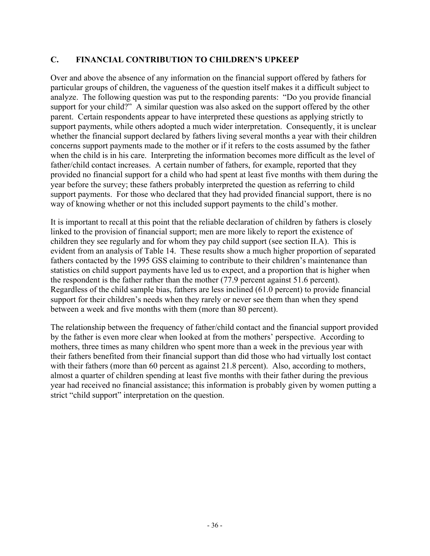### **C. FINANCIAL CONTRIBUTION TO CHILDREN'S UPKEEP**

Over and above the absence of any information on the financial support offered by fathers for particular groups of children, the vagueness of the question itself makes it a difficult subject to analyze. The following question was put to the responding parents: "Do you provide financial support for your child?" A similar question was also asked on the support offered by the other parent. Certain respondents appear to have interpreted these questions as applying strictly to support payments, while others adopted a much wider interpretation. Consequently, it is unclear whether the financial support declared by fathers living several months a year with their children concerns support payments made to the mother or if it refers to the costs assumed by the father when the child is in his care. Interpreting the information becomes more difficult as the level of father/child contact increases. A certain number of fathers, for example, reported that they provided no financial support for a child who had spent at least five months with them during the year before the survey; these fathers probably interpreted the question as referring to child support payments. For those who declared that they had provided financial support, there is no way of knowing whether or not this included support payments to the child's mother.

It is important to recall at this point that the reliable declaration of children by fathers is closely linked to the provision of financial support; men are more likely to report the existence of children they see regularly and for whom they pay child support (see section II.A). This is evident from an analysis of Table 14. These results show a much higher proportion of separated fathers contacted by the 1995 GSS claiming to contribute to their children's maintenance than statistics on child support payments have led us to expect, and a proportion that is higher when the respondent is the father rather than the mother (77.9 percent against 51.6 percent). Regardless of the child sample bias, fathers are less inclined (61.0 percent) to provide financial support for their children's needs when they rarely or never see them than when they spend between a week and five months with them (more than 80 percent).

The relationship between the frequency of father/child contact and the financial support provided by the father is even more clear when looked at from the mothers' perspective. According to mothers, three times as many children who spent more than a week in the previous year with their fathers benefited from their financial support than did those who had virtually lost contact with their fathers (more than 60 percent as against 21.8 percent). Also, according to mothers, almost a quarter of children spending at least five months with their father during the previous year had received no financial assistance; this information is probably given by women putting a strict "child support" interpretation on the question.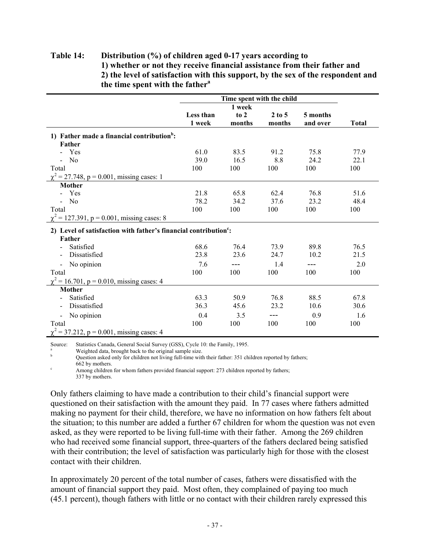#### **Table 14: Distribution (%) of children aged 0-17 years according to 1) whether or not they receive financial assistance from their father and 2) the level of satisfaction with this support, by the sex of the respondent and the time spent with the father<sup>a</sup>**

|                                                                              |           | Time spent with the child |            |          |              |
|------------------------------------------------------------------------------|-----------|---------------------------|------------|----------|--------------|
|                                                                              |           | 1 week                    |            |          |              |
|                                                                              | Less than | to 2                      | $2$ to $5$ | 5 months |              |
|                                                                              | 1 week    | months                    | months     | and over | <b>Total</b> |
| 1) Father made a financial contribution <sup>b</sup> :                       |           |                           |            |          |              |
| Father                                                                       |           |                           |            |          |              |
| - Yes                                                                        | 61.0      | 83.5                      | 91.2       | 75.8     | 77.9         |
| $-$ No                                                                       | 39.0      | 16.5                      | 8.8        | 24.2     | 22.1         |
| Total                                                                        | 100       | 100                       | 100        | 100      | 100          |
| $\chi^2$ = 27.748, p = 0.001, missing cases: 1                               |           |                           |            |          |              |
| <b>Mother</b>                                                                |           |                           |            |          |              |
| - Yes                                                                        | 21.8      | 65.8                      | 62.4       | 76.8     | 51.6         |
| $-$ No                                                                       | 78.2      | 34.2                      | 37.6       | 23.2     | 48.4         |
| Total                                                                        | 100       | 100                       | 100        | 100      | 100          |
| $\chi^2$ = 127.391, p = 0.001, missing cases: 8                              |           |                           |            |          |              |
| 2) Level of satisfaction with father's financial contribution <sup>c</sup> : |           |                           |            |          |              |
| Father                                                                       |           |                           |            |          |              |
| Satisfied                                                                    | 68.6      | 76.4                      | 73.9       | 89.8     | 76.5         |
| Dissatisfied                                                                 | 23.8      | 23.6                      | 24.7       | 10.2     | 21.5         |
|                                                                              |           |                           |            |          |              |
| No opinion                                                                   | 7.6       | ---                       | 1.4        | $---$    | 2.0          |
| Total                                                                        | 100       | 100                       | 100        | 100      | 100          |
| $\chi^2$ = 16.701, p = 0.010, missing cases: 4                               |           |                           |            |          |              |
| <b>Mother</b>                                                                |           |                           |            |          |              |
| Satisfied                                                                    | 63.3      | 50.9                      | 76.8       | 88.5     | 67.8         |
| Dissatisfied                                                                 | 36.3      | 45.6                      | 23.2       | 10.6     | 30.6         |
| No opinion<br>$\blacksquare$                                                 | 0.4       | 3.5                       | ---        | 0.9      | 1.6          |
| Total                                                                        | 100       | 100                       | 100        | 100      | 100          |
| $\chi^2$ = 37.212, p = 0.001, missing cases: 4                               |           |                           |            |          |              |

Source: Statistics Canada, General Social Survey (GSS), Cycle 10: the Family, 1995.

Weighted data, brought back to the original sample size.

Question asked only for children not living full-time with their father: 351 children reported by fathers; 662 by mothers.

<sup>c</sup> Among children for whom fathers provided financial support: 273 children reported by fathers; 337 by mothers.

Only fathers claiming to have made a contribution to their child's financial support were questioned on their satisfaction with the amount they paid. In 77 cases where fathers admitted making no payment for their child, therefore, we have no information on how fathers felt about the situation; to this number are added a further 67 children for whom the question was not even asked, as they were reported to be living full-time with their father. Among the 269 children who had received some financial support, three-quarters of the fathers declared being satisfied with their contribution; the level of satisfaction was particularly high for those with the closest contact with their children.

In approximately 20 percent of the total number of cases, fathers were dissatisfied with the amount of financial support they paid. Most often, they complained of paying too much (45.1 percent), though fathers with little or no contact with their children rarely expressed this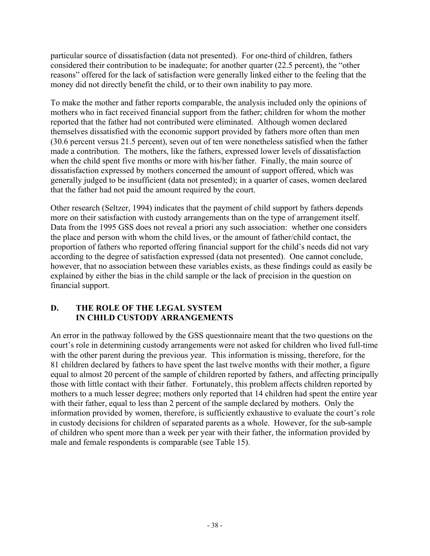particular source of dissatisfaction (data not presented). For one-third of children, fathers considered their contribution to be inadequate; for another quarter (22.5 percent), the "other reasons" offered for the lack of satisfaction were generally linked either to the feeling that the money did not directly benefit the child, or to their own inability to pay more.

To make the mother and father reports comparable, the analysis included only the opinions of mothers who in fact received financial support from the father; children for whom the mother reported that the father had not contributed were eliminated. Although women declared themselves dissatisfied with the economic support provided by fathers more often than men (30.6 percent versus 21.5 percent), seven out of ten were nonetheless satisfied when the father made a contribution. The mothers, like the fathers, expressed lower levels of dissatisfaction when the child spent five months or more with his/her father. Finally, the main source of dissatisfaction expressed by mothers concerned the amount of support offered, which was generally judged to be insufficient (data not presented); in a quarter of cases, women declared that the father had not paid the amount required by the court.

Other research (Seltzer, 1994) indicates that the payment of child support by fathers depends more on their satisfaction with custody arrangements than on the type of arrangement itself. Data from the 1995 GSS does not reveal a priori any such association: whether one considers the place and person with whom the child lives, or the amount of father/child contact, the proportion of fathers who reported offering financial support for the child's needs did not vary according to the degree of satisfaction expressed (data not presented). One cannot conclude, however, that no association between these variables exists, as these findings could as easily be explained by either the bias in the child sample or the lack of precision in the question on financial support.

### **D. THE ROLE OF THE LEGAL SYSTEM IN CHILD CUSTODY ARRANGEMENTS**

An error in the pathway followed by the GSS questionnaire meant that the two questions on the court's role in determining custody arrangements were not asked for children who lived full-time with the other parent during the previous year. This information is missing, therefore, for the 81 children declared by fathers to have spent the last twelve months with their mother, a figure equal to almost 20 percent of the sample of children reported by fathers, and affecting principally those with little contact with their father. Fortunately, this problem affects children reported by mothers to a much lesser degree; mothers only reported that 14 children had spent the entire year with their father, equal to less than 2 percent of the sample declared by mothers. Only the information provided by women, therefore, is sufficiently exhaustive to evaluate the court's role in custody decisions for children of separated parents as a whole. However, for the sub-sample of children who spent more than a week per year with their father, the information provided by male and female respondents is comparable (see Table 15).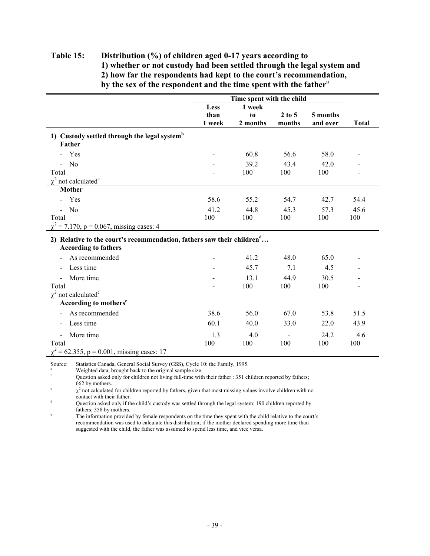#### **Table 15: Distribution (%) of children aged 0-17 years according to 1) whether or not custody had been settled through the legal system and 2) how far the respondents had kept to the court's recommendation, by the sex of the respondent and the time spent with the father<sup>a</sup>**

|                                                                                    |        | Time spent with the child |            |          |              |
|------------------------------------------------------------------------------------|--------|---------------------------|------------|----------|--------------|
|                                                                                    | Less   | 1 week                    |            |          |              |
|                                                                                    | than   | to                        | $2$ to $5$ | 5 months |              |
|                                                                                    | 1 week | 2 months                  | months     | and over | <b>Total</b> |
| 1) Custody settled through the legal system <sup>b</sup>                           |        |                           |            |          |              |
| Father                                                                             |        |                           |            |          |              |
| Yes                                                                                |        | 60.8                      | 56.6       | 58.0     |              |
| N <sub>0</sub>                                                                     |        | 39.2                      | 43.4       | 42.0     |              |
| Total                                                                              |        | 100                       | 100        | 100      |              |
| $\chi^2$ not calculated <sup>c</sup>                                               |        |                           |            |          |              |
| <b>Mother</b>                                                                      |        |                           |            |          |              |
| - Yes                                                                              | 58.6   | 55.2                      | 54.7       | 42.7     | 54.4         |
| N <sub>0</sub>                                                                     | 41.2   | 44.8                      | 45.3       | 57.3     | 45.6         |
| Total                                                                              | 100    | 100                       | 100        | 100      | 100          |
| $\chi^2$ = 7.170, p = 0.067, missing cases: 4                                      |        |                           |            |          |              |
| 2) Relative to the court's recommendation, fathers saw their children <sup>d</sup> |        |                           |            |          |              |
| <b>According to fathers</b>                                                        |        |                           |            |          |              |
| As recommended                                                                     |        | 41.2                      | 48.0       | 65.0     |              |
| Less time                                                                          |        | 45.7                      | 7.1        | 4.5      |              |
| More time                                                                          |        | 13.1                      | 44.9       | 30.5     |              |
| Total                                                                              |        | 100                       | 100        | 100      |              |
| $\chi^2$ not calculated <sup>c</sup>                                               |        |                           |            |          |              |
| According to mothers <sup>e</sup>                                                  |        |                           |            |          |              |
| As recommended                                                                     | 38.6   | 56.0                      | 67.0       | 53.8     | 51.5         |
| Less time<br>Ξ.                                                                    | 60.1   | 40.0                      | 33.0       | 22.0     | 43.9         |
| More time<br>÷.                                                                    | 1.3    | 4.0                       |            | 24.2     | 4.6          |
| Total                                                                              | 100    | 100                       | 100        | 100      | 100          |
| $\chi^2$ = 62.355, p = 0.001, missing cases: 17                                    |        |                           |            |          |              |
|                                                                                    |        |                           |            |          |              |

Source: Statistics Canada, General Social Survey (GSS), Cycle 10: the Family, 1995.

<sup>a</sup> Weighted data, brought back to the original sample size.

Question asked only for children not living full-time with their father : 351 children reported by fathers; 662 by mothers.

 $\chi^2$  not calculated for children reported by fathers, given that most missing values involve children with no contact with their father.

<sup>d</sup> Question asked only if the child's custody was settled through the legal system: 190 children reported by fathers; 358 by mothers.

The information provided by female respondents on the time they spent with the child relative to the court's recommendation was used to calculate this distribution; if the mother declared spending more time than suggested with the child, the father was assumed to spend less time, and vice versa.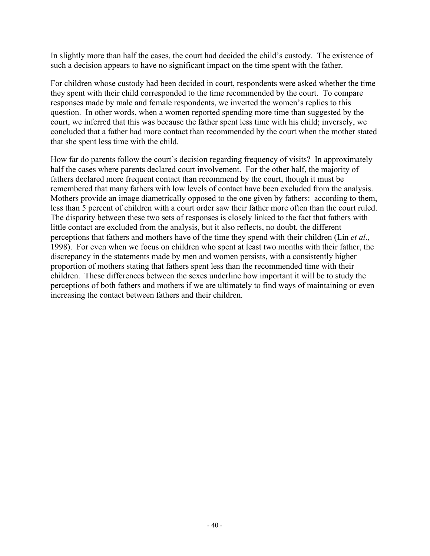In slightly more than half the cases, the court had decided the child's custody. The existence of such a decision appears to have no significant impact on the time spent with the father.

For children whose custody had been decided in court, respondents were asked whether the time they spent with their child corresponded to the time recommended by the court. To compare responses made by male and female respondents, we inverted the women's replies to this question. In other words, when a women reported spending more time than suggested by the court, we inferred that this was because the father spent less time with his child; inversely, we concluded that a father had more contact than recommended by the court when the mother stated that she spent less time with the child.

How far do parents follow the court's decision regarding frequency of visits? In approximately half the cases where parents declared court involvement. For the other half, the majority of fathers declared more frequent contact than recommend by the court, though it must be remembered that many fathers with low levels of contact have been excluded from the analysis. Mothers provide an image diametrically opposed to the one given by fathers: according to them, less than 5 percent of children with a court order saw their father more often than the court ruled. The disparity between these two sets of responses is closely linked to the fact that fathers with little contact are excluded from the analysis, but it also reflects, no doubt, the different perceptions that fathers and mothers have of the time they spend with their children (Lin *et al*., 1998). For even when we focus on children who spent at least two months with their father, the discrepancy in the statements made by men and women persists, with a consistently higher proportion of mothers stating that fathers spent less than the recommended time with their children. These differences between the sexes underline how important it will be to study the perceptions of both fathers and mothers if we are ultimately to find ways of maintaining or even increasing the contact between fathers and their children.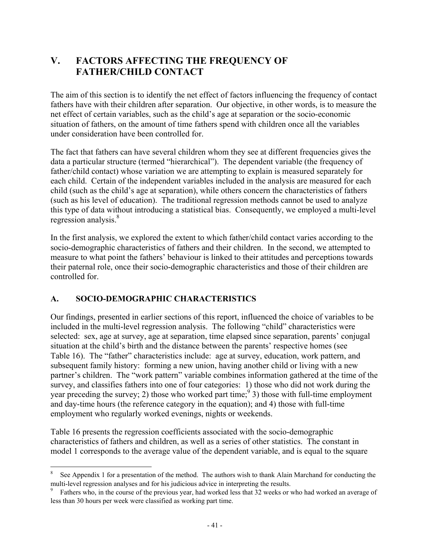# **V. FACTORS AFFECTING THE FREQUENCY OF FATHER/CHILD CONTACT**

The aim of this section is to identify the net effect of factors influencing the frequency of contact fathers have with their children after separation. Our objective, in other words, is to measure the net effect of certain variables, such as the child's age at separation or the socio-economic situation of fathers, on the amount of time fathers spend with children once all the variables under consideration have been controlled for.

The fact that fathers can have several children whom they see at different frequencies gives the data a particular structure (termed "hierarchical"). The dependent variable (the frequency of father/child contact) whose variation we are attempting to explain is measured separately for each child. Certain of the independent variables included in the analysis are measured for each child (such as the child's age at separation), while others concern the characteristics of fathers (such as his level of education). The traditional regression methods cannot be used to analyze this type of data without introducing a statistical bias. Consequently, we employed a multi-level regression analysis.<sup>8</sup>

In the first analysis, we explored the extent to which father/child contact varies according to the socio-demographic characteristics of fathers and their children. In the second, we attempted to measure to what point the fathers' behaviour is linked to their attitudes and perceptions towards their paternal role, once their socio-demographic characteristics and those of their children are controlled for.

# **A. SOCIO-DEMOGRAPHIC CHARACTERISTICS**

 $\overline{a}$ 

Our findings, presented in earlier sections of this report, influenced the choice of variables to be included in the multi-level regression analysis. The following "child" characteristics were selected: sex, age at survey, age at separation, time elapsed since separation, parents' conjugal situation at the child's birth and the distance between the parents' respective homes (see Table 16). The "father" characteristics include: age at survey, education, work pattern, and subsequent family history: forming a new union, having another child or living with a new partner's children. The "work pattern" variable combines information gathered at the time of the survey, and classifies fathers into one of four categories: 1) those who did not work during the year preceding the survey; 2) those who worked part time;  $\frac{9}{3}$  those with full-time employment and day-time hours (the reference category in the equation); and 4) those with full-time employment who regularly worked evenings, nights or weekends.

Table 16 presents the regression coefficients associated with the socio-demographic characteristics of fathers and children, as well as a series of other statistics. The constant in model 1 corresponds to the average value of the dependent variable, and is equal to the square

See Appendix 1 for a presentation of the method. The authors wish to thank Alain Marchand for conducting the multi-level regression analyses and for his judicious advice in interpreting the results.

<sup>&</sup>lt;sup>9</sup> Fathers who, in the course of the previous year, had worked less that 32 weeks or who had worked an average of less than 30 hours per week were classified as working part time.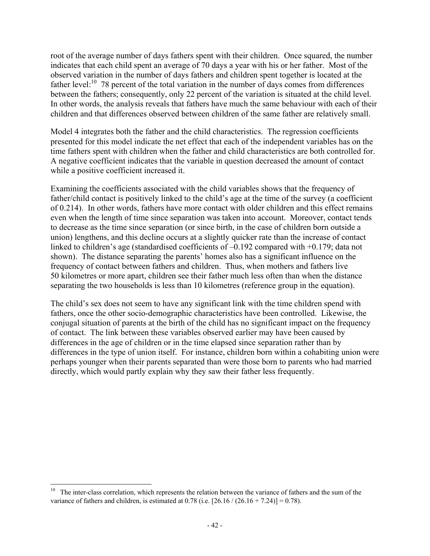root of the average number of days fathers spent with their children. Once squared, the number indicates that each child spent an average of 70 days a year with his or her father. Most of the observed variation in the number of days fathers and children spent together is located at the father level:<sup>10</sup> 78 percent of the total variation in the number of days comes from differences between the fathers; consequently, only 22 percent of the variation is situated at the child level. In other words, the analysis reveals that fathers have much the same behaviour with each of their children and that differences observed between children of the same father are relatively small.

Model 4 integrates both the father and the child characteristics. The regression coefficients presented for this model indicate the net effect that each of the independent variables has on the time fathers spent with children when the father and child characteristics are both controlled for. A negative coefficient indicates that the variable in question decreased the amount of contact while a positive coefficient increased it.

Examining the coefficients associated with the child variables shows that the frequency of father/child contact is positively linked to the child's age at the time of the survey (a coefficient of 0.214). In other words, fathers have more contact with older children and this effect remains even when the length of time since separation was taken into account. Moreover, contact tends to decrease as the time since separation (or since birth, in the case of children born outside a union) lengthens, and this decline occurs at a slightly quicker rate than the increase of contact linked to children's age (standardised coefficients of  $-0.192$  compared with  $+0.179$ ; data not shown). The distance separating the parents' homes also has a significant influence on the frequency of contact between fathers and children. Thus, when mothers and fathers live 50 kilometres or more apart, children see their father much less often than when the distance separating the two households is less than 10 kilometres (reference group in the equation).

The child's sex does not seem to have any significant link with the time children spend with fathers, once the other socio-demographic characteristics have been controlled. Likewise, the conjugal situation of parents at the birth of the child has no significant impact on the frequency of contact. The link between these variables observed earlier may have been caused by differences in the age of children or in the time elapsed since separation rather than by differences in the type of union itself. For instance, children born within a cohabiting union were perhaps younger when their parents separated than were those born to parents who had married directly, which would partly explain why they saw their father less frequently.

 $\overline{a}$ <sup>10</sup> The inter-class correlation, which represents the relation between the variance of fathers and the sum of the variance of fathers and children, is estimated at  $0.78$  (i.e.  $[26.16 / (26.16 + 7.24)] = 0.78$ ).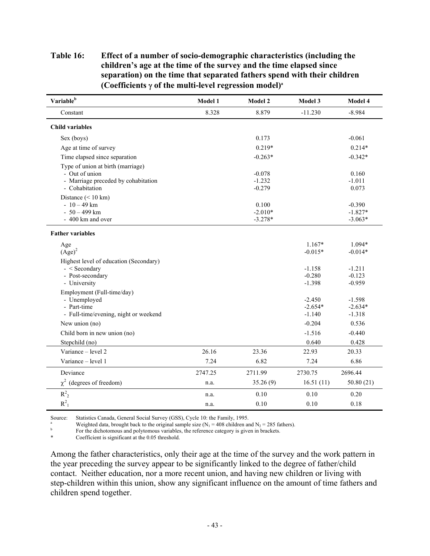### **Table 16: Effect of a number of socio-demographic characteristics (including the children's age at the time of the survey and the time elapsed since separation) on the time that separated fathers spend with their children (Coefficients** γ **of the multi-level regression model)a**

| Variable <sup>b</sup>                                                                                        | Model 1 | Model 2                          | Model 3                           | Model 4                            |
|--------------------------------------------------------------------------------------------------------------|---------|----------------------------------|-----------------------------------|------------------------------------|
| Constant                                                                                                     | 8.328   | 8.879                            | $-11.230$                         | $-8.984$                           |
| <b>Child variables</b>                                                                                       |         |                                  |                                   |                                    |
| Sex (boys)                                                                                                   |         | 0.173                            |                                   | $-0.061$                           |
| Age at time of survey                                                                                        |         | $0.219*$                         |                                   | $0.214*$                           |
| Time elapsed since separation                                                                                |         | $-0.263*$                        |                                   | $-0.342*$                          |
| Type of union at birth (marriage)<br>- Out of union<br>- Marriage preceded by cohabitation<br>- Cohabitation |         | $-0.078$<br>$-1.232$<br>$-0.279$ |                                   | 0.160<br>$-1.011$<br>0.073         |
| Distance $(< 10 \text{ km})$<br>$-10-49$ km<br>$-50-499$ km<br>- 400 km and over                             |         | 0.100<br>$-2.010*$<br>$-3.278*$  |                                   | $-0.390$<br>$-1.827*$<br>$-3.063*$ |
| <b>Father variables</b>                                                                                      |         |                                  |                                   |                                    |
| Age<br>$(Age)^2$<br>Highest level of education (Secondary)                                                   |         |                                  | $1.167*$<br>$-0.015*$             | $1.094*$<br>$-0.014*$              |
| $-$ < Secondary<br>- Post-secondary<br>- University                                                          |         |                                  | $-1.158$<br>$-0.280$<br>$-1.398$  | $-1.211$<br>$-0.123$<br>$-0.959$   |
| Employment (Full-time/day)<br>- Unemployed<br>- Part-time<br>- Full-time/evening, night or weekend           |         |                                  | $-2.450$<br>$-2.654*$<br>$-1.140$ | $-1.598$<br>$-2.634*$<br>$-1.318$  |
| New union (no)                                                                                               |         |                                  | $-0.204$                          | 0.536                              |
| Child born in new union (no)<br>Stepchild (no)                                                               |         |                                  | $-1.516$<br>0.640                 | $-0.440$<br>0.428                  |
| Variance - level 2                                                                                           | 26.16   | 23.36                            | 22.93                             | 20.33                              |
| Variance - level 1                                                                                           | 7.24    | 6.82                             | 7.24                              | 6.86                               |
| Deviance                                                                                                     | 2747.25 | 2711.99                          | 2730.75                           | 2696.44                            |
| $\chi^2$ (degrees of freedom)                                                                                | n.a.    | 35.26(9)                         | 16.51(11)                         | 50.80(21)                          |
| $R^2$ <sub>2</sub>                                                                                           | n.a.    | 0.10                             | 0.10                              | 0.20                               |
| $R^2$ <sub>1</sub>                                                                                           | n.a.    | 0.10                             | 0.10                              | 0.18                               |

Source: Statistics Canada, General Social Survey (GSS), Cycle 10: the Family, 1995.

<sup>a</sup> Weighted data, brought back to the original sample size (N<sub>1</sub> = 408 children and N<sub>2</sub> = 285 fathers). For the dichotomous and polytomous variables, the reference category is given in brackets.

Coefficient is significant at the 0.05 threshold.

Among the father characteristics, only their age at the time of the survey and the work pattern in the year preceding the survey appear to be significantly linked to the degree of father/child contact. Neither education, nor a more recent union, and having new children or living with step-children within this union, show any significant influence on the amount of time fathers and children spend together.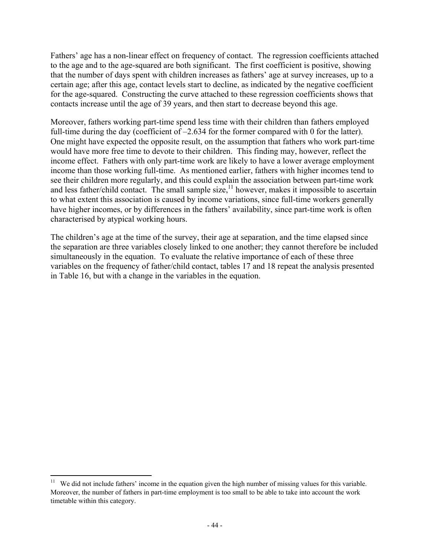Fathers' age has a non-linear effect on frequency of contact. The regression coefficients attached to the age and to the age-squared are both significant. The first coefficient is positive, showing that the number of days spent with children increases as fathers' age at survey increases, up to a certain age; after this age, contact levels start to decline, as indicated by the negative coefficient for the age-squared. Constructing the curve attached to these regression coefficients shows that contacts increase until the age of 39 years, and then start to decrease beyond this age.

Moreover, fathers working part-time spend less time with their children than fathers employed full-time during the day (coefficient of  $-2.634$  for the former compared with 0 for the latter). One might have expected the opposite result, on the assumption that fathers who work part-time would have more free time to devote to their children. This finding may, however, reflect the income effect. Fathers with only part-time work are likely to have a lower average employment income than those working full-time. As mentioned earlier, fathers with higher incomes tend to see their children more regularly, and this could explain the association between part-time work and less father/child contact. The small sample size,<sup>11</sup> however, makes it impossible to ascertain to what extent this association is caused by income variations, since full-time workers generally have higher incomes, or by differences in the fathers' availability, since part-time work is often characterised by atypical working hours.

The children's age at the time of the survey, their age at separation, and the time elapsed since the separation are three variables closely linked to one another; they cannot therefore be included simultaneously in the equation. To evaluate the relative importance of each of these three variables on the frequency of father/child contact, tables 17 and 18 repeat the analysis presented in Table 16, but with a change in the variables in the equation.

 $\overline{a}$ 

<sup>&</sup>lt;sup>11</sup> We did not include fathers' income in the equation given the high number of missing values for this variable. Moreover, the number of fathers in part-time employment is too small to be able to take into account the work timetable within this category.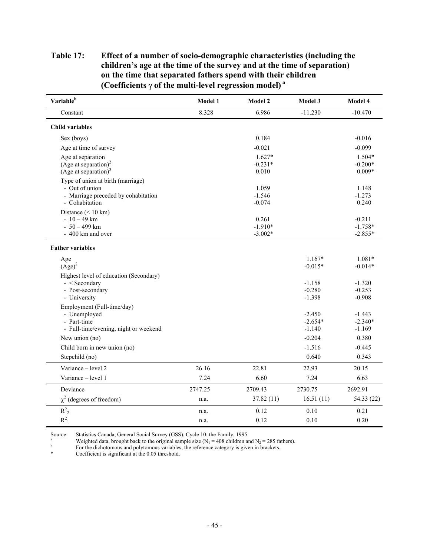### **Table 17: Effect of a number of socio-demographic characteristics (including the children's age at the time of the survey and at the time of separation) on the time that separated fathers spend with their children (Coefficients** γ **of the multi-level regression model) a**

| Variable <sup>b</sup>                                 | Model 1 | Model 2              | Model 3   | Model 4           |
|-------------------------------------------------------|---------|----------------------|-----------|-------------------|
| Constant                                              | 8.328   | 6.986                | $-11.230$ | $-10.470$         |
| <b>Child variables</b>                                |         |                      |           |                   |
| Sex (boys)                                            |         | 0.184                |           | $-0.016$          |
| Age at time of survey                                 |         | $-0.021$             |           | $-0.099$          |
| Age at separation                                     |         | $1.627*$             |           | $1.504*$          |
| (Age at separation) <sup>2</sup>                      |         | $-0.231*$            |           | $-0.200*$         |
| (Age at separation) $3$                               |         | 0.010                |           | $0.009*$          |
| Type of union at birth (marriage)                     |         |                      |           |                   |
| - Out of union                                        |         | 1.059                |           | 1.148             |
| - Marriage preceded by cohabitation<br>- Cohabitation |         | $-1.546$<br>$-0.074$ |           | $-1.273$<br>0.240 |
| Distance $(< 10 \text{ km})$                          |         |                      |           |                   |
| $-10-49$ km                                           |         | 0.261                |           | $-0.211$          |
| $-50-499$ km                                          |         | $-1.910*$            |           | $-1.758*$         |
| - 400 km and over                                     |         | $-3.002*$            |           | $-2.855*$         |
| <b>Father variables</b>                               |         |                      |           |                   |
| Age                                                   |         |                      | $1.167*$  | $1.081*$          |
| $(Age)^2$                                             |         |                      | $-0.015*$ | $-0.014*$         |
| Highest level of education (Secondary)                |         |                      |           |                   |
| $-$ < Secondary                                       |         |                      | $-1.158$  | $-1.320$          |
| - Post-secondary                                      |         |                      | $-0.280$  | $-0.253$          |
| - University                                          |         |                      | $-1.398$  | $-0.908$          |
| Employment (Full-time/day)<br>- Unemployed            |         |                      | $-2.450$  | $-1.443$          |
| - Part-time                                           |         |                      | $-2.654*$ | $-2.340*$         |
| - Full-time/evening, night or weekend                 |         |                      | $-1.140$  | $-1.169$          |
| New union (no)                                        |         |                      | $-0.204$  | 0.380             |
| Child born in new union (no)                          |         |                      | $-1.516$  | $-0.445$          |
| Stepchild (no)                                        |         |                      | 0.640     | 0.343             |
| Variance – level 2                                    | 26.16   | 22.81                | 22.93     | 20.15             |
| Variance - level 1                                    | 7.24    | 6.60                 | 7.24      | 6.63              |
| Deviance                                              | 2747.25 | 2709.43              | 2730.75   | 2692.91           |
| $\chi^2$ (degrees of freedom)                         | n.a.    | 37.82(11)            | 16.51(11) | 54.33 (22)        |
| $R^2$ <sub>2</sub>                                    | n.a.    | 0.12                 | 0.10      | 0.21              |
| $R^2$ <sub>1</sub>                                    | n.a.    | 0.12                 | 0.10      | 0.20              |

Source: Statistics Canada, General Social Survey (GSS), Cycle 10: the Family, 1995.

<sup>a</sup><br>Weighted data, brought back to the original sample size (N<sub>1</sub> = 408 children and N<sub>2</sub> = 285 fathers).<br>For the dichotomous and polytomous variables, the reference category is given in brackets.<br>Coefficient is significa

Coefficient is significant at the 0.05 threshold.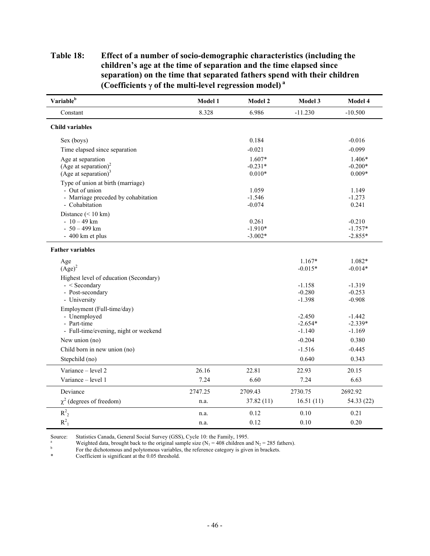### **Table 18: Effect of a number of socio-demographic characteristics (including the children's age at the time of separation and the time elapsed since separation) on the time that separated fathers spend with their children (Coefficients** γ **of the multi-level regression model) a**

| Variable <sup>b</sup>                                                                                        | Model 1 | Model 2                           | Model 3                           | Model 4                            |
|--------------------------------------------------------------------------------------------------------------|---------|-----------------------------------|-----------------------------------|------------------------------------|
| Constant                                                                                                     | 8.328   | 6.986                             | $-11.230$                         | $-10.500$                          |
| <b>Child variables</b>                                                                                       |         |                                   |                                   |                                    |
| Sex (boys)                                                                                                   |         | 0.184                             |                                   | $-0.016$                           |
| Time elapsed since separation                                                                                |         | $-0.021$                          |                                   | $-0.099$                           |
| Age at separation<br>(Age at separation) <sup>2</sup><br>(Age at separation) $3$                             |         | $1.607*$<br>$-0.231*$<br>$0.010*$ |                                   | 1.406*<br>$-0.200*$<br>$0.009*$    |
| Type of union at birth (marriage)<br>- Out of union<br>- Marriage preceded by cohabitation<br>- Cohabitation |         | 1.059<br>$-1.546$<br>$-0.074$     |                                   | 1.149<br>$-1.273$<br>0.241         |
| Distance $(< 10 \text{ km})$<br>$-10-49$ km<br>$-50-499$ km<br>- 400 km et plus                              |         | 0.261<br>$-1.910*$<br>$-3.002*$   |                                   | $-0.210$<br>$-1.757*$<br>$-2.855*$ |
| <b>Father variables</b>                                                                                      |         |                                   |                                   |                                    |
| Age<br>$(Age)^2$                                                                                             |         |                                   | $1.167*$<br>$-0.015*$             | 1.082*<br>$-0.014*$                |
| Highest level of education (Secondary)<br>$-$ < Secondary<br>- Post-secondary<br>- University                |         |                                   | $-1.158$<br>$-0.280$<br>$-1.398$  | $-1.319$<br>$-0.253$<br>$-0.908$   |
| Employment (Full-time/day)<br>- Unemployed<br>- Part-time<br>- Full-time/evening, night or weekend           |         |                                   | $-2.450$<br>$-2.654*$<br>$-1.140$ | $-1.442$<br>$-2.339*$<br>$-1.169$  |
| New union (no)                                                                                               |         |                                   | $-0.204$                          | 0.380                              |
| Child born in new union (no)                                                                                 |         |                                   | $-1.516$                          | $-0.445$                           |
| Stepchild (no)                                                                                               |         |                                   | 0.640                             | 0.343                              |
| Variance – level 2                                                                                           | 26.16   | 22.81                             | 22.93                             | 20.15                              |
| Variance - level 1                                                                                           | 7.24    | 6.60                              | 7.24                              | 6.63                               |
| Deviance                                                                                                     | 2747.25 | 2709.43                           | 2730.75                           | 2692.92                            |
| $\chi^2$ (degrees of freedom)                                                                                | n.a.    | 37.82(11)                         | 16.51(11)                         | 54.33 (22)                         |
| $R^2$ <sub>2</sub>                                                                                           | n.a.    | 0.12                              | 0.10                              | 0.21                               |
| $R^2$ <sub>1</sub>                                                                                           | n.a.    | 0.12                              | 0.10                              | 0.20                               |

Source: Statistics Canada, General Social Survey (GSS), Cycle 10: the Family, 1995.<br>Weighted data, brought back to the original sample size (N<sub>1</sub> = 408 children and N<sub>2</sub> = 285 fathers).

b<br>For the dichotomous and polytomous variables, the reference category is given in brackets.<br> $\frac{1}{2}$ 

Coefficient is significant at the 0.05 threshold.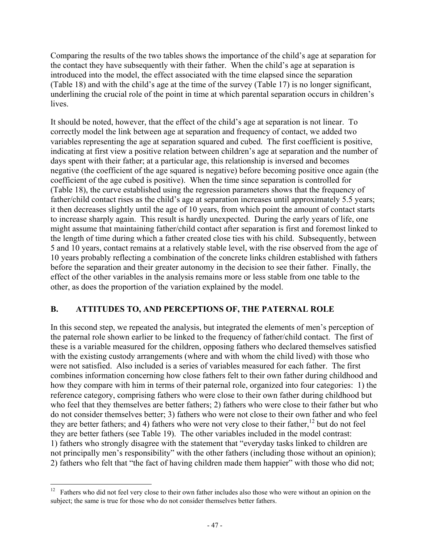Comparing the results of the two tables shows the importance of the child's age at separation for the contact they have subsequently with their father. When the child's age at separation is introduced into the model, the effect associated with the time elapsed since the separation (Table 18) and with the child's age at the time of the survey (Table 17) is no longer significant, underlining the crucial role of the point in time at which parental separation occurs in children's lives.

It should be noted, however, that the effect of the child's age at separation is not linear. To correctly model the link between age at separation and frequency of contact, we added two variables representing the age at separation squared and cubed. The first coefficient is positive, indicating at first view a positive relation between children's age at separation and the number of days spent with their father; at a particular age, this relationship is inversed and becomes negative (the coefficient of the age squared is negative) before becoming positive once again (the coefficient of the age cubed is positive). When the time since separation is controlled for (Table 18), the curve established using the regression parameters shows that the frequency of father/child contact rises as the child's age at separation increases until approximately 5.5 years; it then decreases slightly until the age of 10 years, from which point the amount of contact starts to increase sharply again. This result is hardly unexpected. During the early years of life, one might assume that maintaining father/child contact after separation is first and foremost linked to the length of time during which a father created close ties with his child. Subsequently, between 5 and 10 years, contact remains at a relatively stable level, with the rise observed from the age of 10 years probably reflecting a combination of the concrete links children established with fathers before the separation and their greater autonomy in the decision to see their father. Finally, the effect of the other variables in the analysis remains more or less stable from one table to the other, as does the proportion of the variation explained by the model.

# **B. ATTITUDES TO, AND PERCEPTIONS OF, THE PATERNAL ROLE**

In this second step, we repeated the analysis, but integrated the elements of men's perception of the paternal role shown earlier to be linked to the frequency of father/child contact. The first of these is a variable measured for the children, opposing fathers who declared themselves satisfied with the existing custody arrangements (where and with whom the child lived) with those who were not satisfied. Also included is a series of variables measured for each father. The first combines information concerning how close fathers felt to their own father during childhood and how they compare with him in terms of their paternal role, organized into four categories: 1) the reference category, comprising fathers who were close to their own father during childhood but who feel that they themselves are better fathers; 2) fathers who were close to their father but who do not consider themselves better; 3) fathers who were not close to their own father and who feel they are better fathers; and 4) fathers who were not very close to their father, $^{12}$  but do not feel they are better fathers (see Table 19). The other variables included in the model contrast: 1) fathers who strongly disagree with the statement that "everyday tasks linked to children are not principally men's responsibility" with the other fathers (including those without an opinion); 2) fathers who felt that "the fact of having children made them happier" with those who did not;

 $\overline{a}$  $12$  Fathers who did not feel very close to their own father includes also those who were without an opinion on the subject; the same is true for those who do not consider themselves better fathers.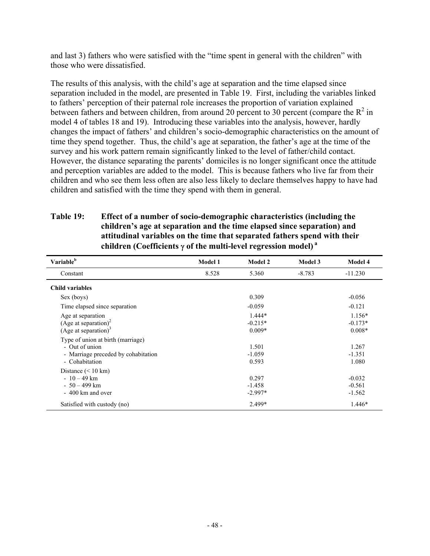and last 3) fathers who were satisfied with the "time spent in general with the children" with those who were dissatisfied.

The results of this analysis, with the child's age at separation and the time elapsed since separation included in the model, are presented in Table 19. First, including the variables linked to fathers' perception of their paternal role increases the proportion of variation explained between fathers and between children, from around 20 percent to 30 percent (compare the  $\mathbb{R}^2$  in model 4 of tables 18 and 19). Introducing these variables into the analysis, however, hardly changes the impact of fathers' and children's socio-demographic characteristics on the amount of time they spend together. Thus, the child's age at separation, the father's age at the time of the survey and his work pattern remain significantly linked to the level of father/child contact. However, the distance separating the parents' domiciles is no longer significant once the attitude and perception variables are added to the model. This is because fathers who live far from their children and who see them less often are also less likely to declare themselves happy to have had children and satisfied with the time they spend with them in general.

| Variable <sup>b</sup>                                                                                        | Model 1 | Model 2                           | Model 3  | Model 4                           |
|--------------------------------------------------------------------------------------------------------------|---------|-----------------------------------|----------|-----------------------------------|
| Constant                                                                                                     | 8.528   | 5.360                             | $-8.783$ | $-11.230$                         |
| <b>Child variables</b>                                                                                       |         |                                   |          |                                   |
| Sex (boys)                                                                                                   |         | 0.309                             |          | $-0.056$                          |
| Time elapsed since separation                                                                                |         | $-0.059$                          |          | $-0.121$                          |
| Age at separation<br>(Age at separation) <sup>2</sup><br>(Age at separation) $3$                             |         | $1.444*$<br>$-0.215*$<br>$0.009*$ |          | $1.156*$<br>$-0.173*$<br>$0.008*$ |
| Type of union at birth (marriage)<br>- Out of union<br>- Marriage preceded by cohabitation<br>- Cohabitation |         | 1.501<br>$-1.059$<br>0.593        |          | 1.267<br>$-1.351$<br>1.080        |
| Distance $(< 10 \text{ km})$<br>$-10-49$ km<br>$-50-499$ km<br>$-400$ km and over                            |         | 0.297<br>$-1.458$<br>$-2.997*$    |          | $-0.032$<br>$-0.561$<br>$-1.562$  |
| Satisfied with custody (no)                                                                                  |         | 2.499*                            |          | $1.446*$                          |

### **Table 19: Effect of a number of socio-demographic characteristics (including the children's age at separation and the time elapsed since separation) and attitudinal variables on the time that separated fathers spend with their children (Coefficients** γ **of the multi-level regression model)<sup>a</sup>**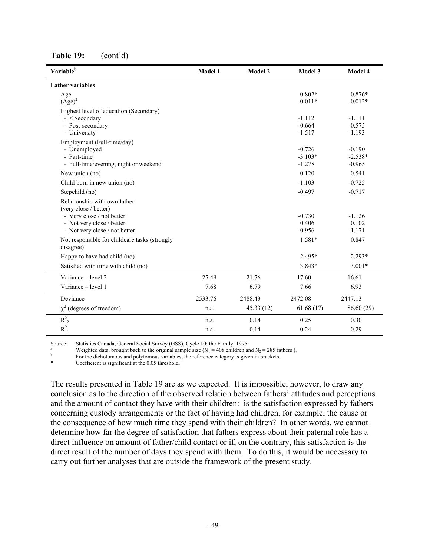| Variable <sup>b</sup>                                                                                                                            | Model 1 | Model 2   | Model 3                           | Model 4                           |
|--------------------------------------------------------------------------------------------------------------------------------------------------|---------|-----------|-----------------------------------|-----------------------------------|
| <b>Father variables</b>                                                                                                                          |         |           |                                   |                                   |
| Age<br>$(Age)^2$                                                                                                                                 |         |           | $0.802*$<br>$-0.011*$             | $0.876*$<br>$-0.012*$             |
| Highest level of education (Secondary)<br>$-$ < Secondary<br>- Post-secondary<br>- University                                                    |         |           | $-1.112$<br>$-0.664$<br>$-1.517$  | $-1.111$<br>$-0.575$<br>$-1.193$  |
| Employment (Full-time/day)<br>- Unemployed<br>- Part-time<br>- Full-time/evening, night or weekend                                               |         |           | $-0.726$<br>$-3.103*$<br>$-1.278$ | $-0.190$<br>$-2.538*$<br>$-0.965$ |
| New union (no)                                                                                                                                   |         |           | 0.120                             | 0.541                             |
| Child born in new union (no)                                                                                                                     |         |           | $-1.103$                          | $-0.725$                          |
| Stepchild (no)                                                                                                                                   |         |           | $-0.497$                          | $-0.717$                          |
| Relationship with own father<br>(very close / better)<br>- Very close / not better<br>- Not very close / better<br>- Not very close / not better |         |           | $-0.730$<br>0.406<br>$-0.956$     | $-1.126$<br>0.102<br>$-1.171$     |
| Not responsible for childcare tasks (strongly<br>disagree)                                                                                       |         |           | $1.581*$                          | 0.847                             |
| Happy to have had child (no)                                                                                                                     |         |           | 2.495*                            | $2.293*$                          |
| Satisfied with time with child (no)                                                                                                              |         |           | 3.843*                            | $3.001*$                          |
| Variance – level 2                                                                                                                               | 25.49   | 21.76     | 17.60                             | 16.61                             |
| Variance - level 1                                                                                                                               | 7.68    | 6.79      | 7.66                              | 6.93                              |
| Deviance                                                                                                                                         | 2533.76 | 2488.43   | 2472.08                           | 2447.13                           |
| $\chi^2$ (degrees of freedom)                                                                                                                    | n.a.    | 45.33(12) | 61.68(17)                         | 86.60 (29)                        |
| $R_2^2$                                                                                                                                          | n.a.    | 0.14      | 0.25                              | 0.30                              |
| $R^2$ <sub>1</sub>                                                                                                                               | n.a.    | 0.14      | 0.24                              | 0.29                              |

**Table 19:** (cont'd)

Source: Statistics Canada, General Social Survey (GSS), Cycle 10: the Family, 1995.

<sup>a</sup><br>Weighted data, brought back to the original sample size (N<sub>1</sub> = 408 children and N<sub>2</sub> = 285 fathers ).<br>For the dichotomous and polytomous variables, the reference category is given in brackets.

Coefficient is significant at the 0.05 threshold.

The results presented in Table 19 are as we expected. It is impossible, however, to draw any conclusion as to the direction of the observed relation between fathers' attitudes and perceptions and the amount of contact they have with their children: is the satisfaction expressed by fathers concerning custody arrangements or the fact of having had children, for example, the cause or the consequence of how much time they spend with their children? In other words, we cannot determine how far the degree of satisfaction that fathers express about their paternal role has a direct influence on amount of father/child contact or if, on the contrary, this satisfaction is the direct result of the number of days they spend with them. To do this, it would be necessary to carry out further analyses that are outside the framework of the present study.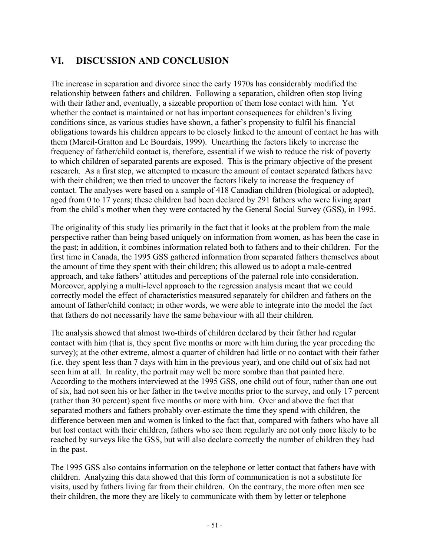# **VI. DISCUSSION AND CONCLUSION**

The increase in separation and divorce since the early 1970s has considerably modified the relationship between fathers and children. Following a separation, children often stop living with their father and, eventually, a sizeable proportion of them lose contact with him. Yet whether the contact is maintained or not has important consequences for children's living conditions since, as various studies have shown, a father's propensity to fulfil his financial obligations towards his children appears to be closely linked to the amount of contact he has with them (Marcil-Gratton and Le Bourdais, 1999). Unearthing the factors likely to increase the frequency of father/child contact is, therefore, essential if we wish to reduce the risk of poverty to which children of separated parents are exposed. This is the primary objective of the present research. As a first step, we attempted to measure the amount of contact separated fathers have with their children; we then tried to uncover the factors likely to increase the frequency of contact. The analyses were based on a sample of 418 Canadian children (biological or adopted), aged from 0 to 17 years; these children had been declared by 291 fathers who were living apart from the child's mother when they were contacted by the General Social Survey (GSS), in 1995.

The originality of this study lies primarily in the fact that it looks at the problem from the male perspective rather than being based uniquely on information from women, as has been the case in the past; in addition, it combines information related both to fathers and to their children. For the first time in Canada, the 1995 GSS gathered information from separated fathers themselves about the amount of time they spent with their children; this allowed us to adopt a male-centred approach, and take fathers' attitudes and perceptions of the paternal role into consideration. Moreover, applying a multi-level approach to the regression analysis meant that we could correctly model the effect of characteristics measured separately for children and fathers on the amount of father/child contact; in other words, we were able to integrate into the model the fact that fathers do not necessarily have the same behaviour with all their children.

The analysis showed that almost two-thirds of children declared by their father had regular contact with him (that is, they spent five months or more with him during the year preceding the survey); at the other extreme, almost a quarter of children had little or no contact with their father (i.e. they spent less than 7 days with him in the previous year), and one child out of six had not seen him at all. In reality, the portrait may well be more sombre than that painted here. According to the mothers interviewed at the 1995 GSS, one child out of four, rather than one out of six, had not seen his or her father in the twelve months prior to the survey, and only 17 percent (rather than 30 percent) spent five months or more with him. Over and above the fact that separated mothers and fathers probably over-estimate the time they spend with children, the difference between men and women is linked to the fact that, compared with fathers who have all but lost contact with their children, fathers who see them regularly are not only more likely to be reached by surveys like the GSS, but will also declare correctly the number of children they had in the past.

The 1995 GSS also contains information on the telephone or letter contact that fathers have with children. Analyzing this data showed that this form of communication is not a substitute for visits, used by fathers living far from their children. On the contrary, the more often men see their children, the more they are likely to communicate with them by letter or telephone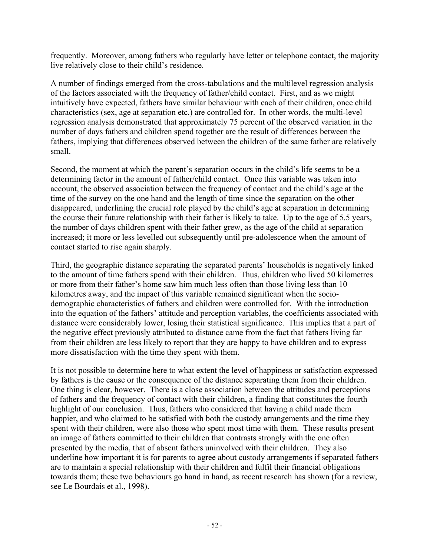frequently. Moreover, among fathers who regularly have letter or telephone contact, the majority live relatively close to their child's residence.

A number of findings emerged from the cross-tabulations and the multilevel regression analysis of the factors associated with the frequency of father/child contact. First, and as we might intuitively have expected, fathers have similar behaviour with each of their children, once child characteristics (sex, age at separation etc.) are controlled for. In other words, the multi-level regression analysis demonstrated that approximately 75 percent of the observed variation in the number of days fathers and children spend together are the result of differences between the fathers, implying that differences observed between the children of the same father are relatively small.

Second, the moment at which the parent's separation occurs in the child's life seems to be a determining factor in the amount of father/child contact. Once this variable was taken into account, the observed association between the frequency of contact and the child's age at the time of the survey on the one hand and the length of time since the separation on the other disappeared, underlining the crucial role played by the child's age at separation in determining the course their future relationship with their father is likely to take. Up to the age of 5.5 years, the number of days children spent with their father grew, as the age of the child at separation increased; it more or less levelled out subsequently until pre-adolescence when the amount of contact started to rise again sharply.

Third, the geographic distance separating the separated parents' households is negatively linked to the amount of time fathers spend with their children. Thus, children who lived 50 kilometres or more from their father's home saw him much less often than those living less than 10 kilometres away, and the impact of this variable remained significant when the sociodemographic characteristics of fathers and children were controlled for. With the introduction into the equation of the fathers' attitude and perception variables, the coefficients associated with distance were considerably lower, losing their statistical significance. This implies that a part of the negative effect previously attributed to distance came from the fact that fathers living far from their children are less likely to report that they are happy to have children and to express more dissatisfaction with the time they spent with them.

It is not possible to determine here to what extent the level of happiness or satisfaction expressed by fathers is the cause or the consequence of the distance separating them from their children. One thing is clear, however. There is a close association between the attitudes and perceptions of fathers and the frequency of contact with their children, a finding that constitutes the fourth highlight of our conclusion. Thus, fathers who considered that having a child made them happier, and who claimed to be satisfied with both the custody arrangements and the time they spent with their children, were also those who spent most time with them. These results present an image of fathers committed to their children that contrasts strongly with the one often presented by the media, that of absent fathers uninvolved with their children. They also underline how important it is for parents to agree about custody arrangements if separated fathers are to maintain a special relationship with their children and fulfil their financial obligations towards them; these two behaviours go hand in hand, as recent research has shown (for a review, see Le Bourdais et al., 1998).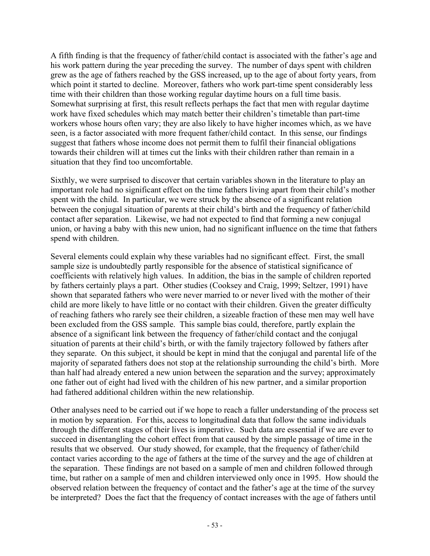A fifth finding is that the frequency of father/child contact is associated with the father's age and his work pattern during the year preceding the survey. The number of days spent with children grew as the age of fathers reached by the GSS increased, up to the age of about forty years, from which point it started to decline. Moreover, fathers who work part-time spent considerably less time with their children than those working regular daytime hours on a full time basis. Somewhat surprising at first, this result reflects perhaps the fact that men with regular daytime work have fixed schedules which may match better their children's timetable than part-time workers whose hours often vary; they are also likely to have higher incomes which, as we have seen, is a factor associated with more frequent father/child contact. In this sense, our findings suggest that fathers whose income does not permit them to fulfil their financial obligations towards their children will at times cut the links with their children rather than remain in a situation that they find too uncomfortable.

Sixthly, we were surprised to discover that certain variables shown in the literature to play an important role had no significant effect on the time fathers living apart from their child's mother spent with the child. In particular, we were struck by the absence of a significant relation between the conjugal situation of parents at their child's birth and the frequency of father/child contact after separation. Likewise, we had not expected to find that forming a new conjugal union, or having a baby with this new union, had no significant influence on the time that fathers spend with children.

Several elements could explain why these variables had no significant effect. First, the small sample size is undoubtedly partly responsible for the absence of statistical significance of coefficients with relatively high values. In addition, the bias in the sample of children reported by fathers certainly plays a part. Other studies (Cooksey and Craig, 1999; Seltzer, 1991) have shown that separated fathers who were never married to or never lived with the mother of their child are more likely to have little or no contact with their children. Given the greater difficulty of reaching fathers who rarely see their children, a sizeable fraction of these men may well have been excluded from the GSS sample. This sample bias could, therefore, partly explain the absence of a significant link between the frequency of father/child contact and the conjugal situation of parents at their child's birth, or with the family trajectory followed by fathers after they separate. On this subject, it should be kept in mind that the conjugal and parental life of the majority of separated fathers does not stop at the relationship surrounding the child's birth. More than half had already entered a new union between the separation and the survey; approximately one father out of eight had lived with the children of his new partner, and a similar proportion had fathered additional children within the new relationship.

Other analyses need to be carried out if we hope to reach a fuller understanding of the process set in motion by separation. For this, access to longitudinal data that follow the same individuals through the different stages of their lives is imperative. Such data are essential if we are ever to succeed in disentangling the cohort effect from that caused by the simple passage of time in the results that we observed. Our study showed, for example, that the frequency of father/child contact varies according to the age of fathers at the time of the survey and the age of children at the separation. These findings are not based on a sample of men and children followed through time, but rather on a sample of men and children interviewed only once in 1995. How should the observed relation between the frequency of contact and the father's age at the time of the survey be interpreted? Does the fact that the frequency of contact increases with the age of fathers until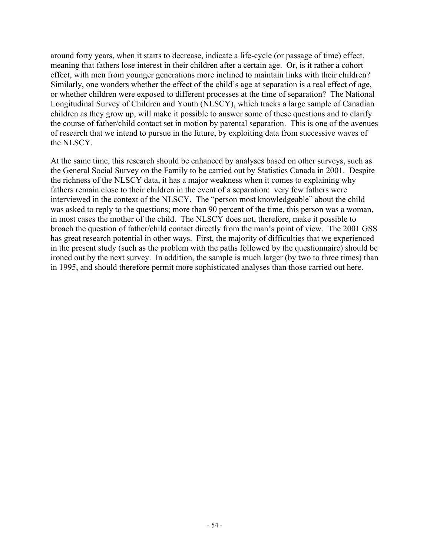around forty years, when it starts to decrease, indicate a life-cycle (or passage of time) effect, meaning that fathers lose interest in their children after a certain age. Or, is it rather a cohort effect, with men from younger generations more inclined to maintain links with their children? Similarly, one wonders whether the effect of the child's age at separation is a real effect of age, or whether children were exposed to different processes at the time of separation? The National Longitudinal Survey of Children and Youth (NLSCY), which tracks a large sample of Canadian children as they grow up, will make it possible to answer some of these questions and to clarify the course of father/child contact set in motion by parental separation. This is one of the avenues of research that we intend to pursue in the future, by exploiting data from successive waves of the NLSCY.

At the same time, this research should be enhanced by analyses based on other surveys, such as the General Social Survey on the Family to be carried out by Statistics Canada in 2001. Despite the richness of the NLSCY data, it has a major weakness when it comes to explaining why fathers remain close to their children in the event of a separation: very few fathers were interviewed in the context of the NLSCY. The "person most knowledgeable" about the child was asked to reply to the questions; more than 90 percent of the time, this person was a woman, in most cases the mother of the child. The NLSCY does not, therefore, make it possible to broach the question of father/child contact directly from the man's point of view. The 2001 GSS has great research potential in other ways. First, the majority of difficulties that we experienced in the present study (such as the problem with the paths followed by the questionnaire) should be ironed out by the next survey. In addition, the sample is much larger (by two to three times) than in 1995, and should therefore permit more sophisticated analyses than those carried out here.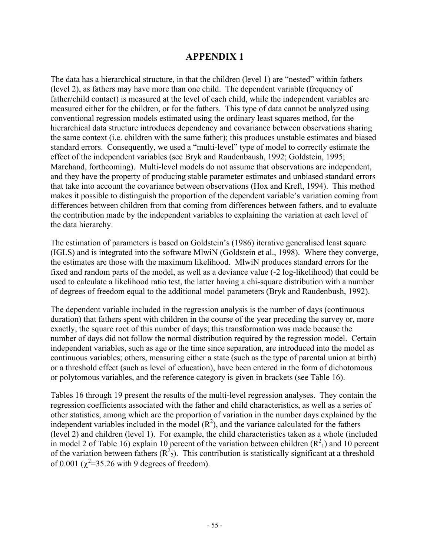# **APPENDIX 1**

The data has a hierarchical structure, in that the children (level 1) are "nested" within fathers (level 2), as fathers may have more than one child. The dependent variable (frequency of father/child contact) is measured at the level of each child, while the independent variables are measured either for the children, or for the fathers. This type of data cannot be analyzed using conventional regression models estimated using the ordinary least squares method, for the hierarchical data structure introduces dependency and covariance between observations sharing the same context (i.e. children with the same father); this produces unstable estimates and biased standard errors. Consequently, we used a "multi-level" type of model to correctly estimate the effect of the independent variables (see Bryk and Raudenbaush, 1992; Goldstein, 1995; Marchand, forthcoming). Multi-level models do not assume that observations are independent, and they have the property of producing stable parameter estimates and unbiased standard errors that take into account the covariance between observations (Hox and Kreft, 1994). This method makes it possible to distinguish the proportion of the dependent variable's variation coming from differences between children from that coming from differences between fathers, and to evaluate the contribution made by the independent variables to explaining the variation at each level of the data hierarchy.

The estimation of parameters is based on Goldstein's (1986) iterative generalised least square (IGLS) and is integrated into the software MlwiN (Goldstein et al., 1998). Where they converge, the estimates are those with the maximum likelihood. MlwiN produces standard errors for the fixed and random parts of the model, as well as a deviance value (-2 log-likelihood) that could be used to calculate a likelihood ratio test, the latter having a chi-square distribution with a number of degrees of freedom equal to the additional model parameters (Bryk and Raudenbush, 1992).

The dependent variable included in the regression analysis is the number of days (continuous duration) that fathers spent with children in the course of the year preceding the survey or, more exactly, the square root of this number of days; this transformation was made because the number of days did not follow the normal distribution required by the regression model. Certain independent variables, such as age or the time since separation, are introduced into the model as continuous variables; others, measuring either a state (such as the type of parental union at birth) or a threshold effect (such as level of education), have been entered in the form of dichotomous or polytomous variables, and the reference category is given in brackets (see Table 16).

Tables 16 through 19 present the results of the multi-level regression analyses. They contain the regression coefficients associated with the father and child characteristics, as well as a series of other statistics, among which are the proportion of variation in the number days explained by the independent variables included in the model  $(R^2)$ , and the variance calculated for the fathers (level 2) and children (level 1). For example, the child characteristics taken as a whole (included in model 2 of Table 16) explain 10 percent of the variation between children  $(R<sup>2</sup><sub>1</sub>)$  and 10 percent of the variation between fathers  $(R<sup>2</sup>_{2})$ . This contribution is statistically significant at a threshold of 0.001 ( $\chi^2$ =35.26 with 9 degrees of freedom).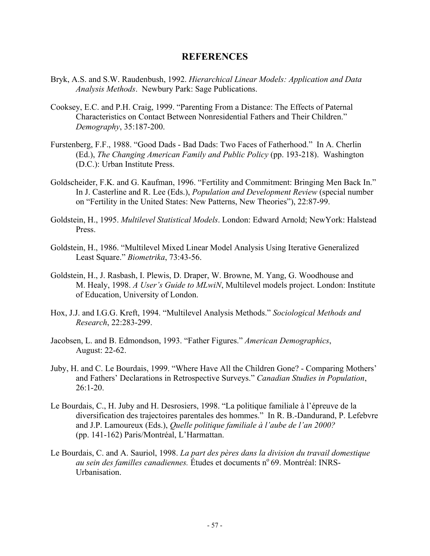#### **REFERENCES**

- Bryk, A.S. and S.W. Raudenbush, 1992. *Hierarchical Linear Models: Application and Data Analysis Methods*. Newbury Park: Sage Publications.
- Cooksey, E.C. and P.H. Craig, 1999. "Parenting From a Distance: The Effects of Paternal Characteristics on Contact Between Nonresidential Fathers and Their Children." *Demography*, 35:187-200.
- Furstenberg, F.F., 1988. "Good Dads Bad Dads: Two Faces of Fatherhood." In A. Cherlin (Ed.), *The Changing American Family and Public Policy* (pp. 193-218). Washington (D.C.): Urban Institute Press.
- Goldscheider, F.K. and G. Kaufman, 1996. "Fertility and Commitment: Bringing Men Back In." In J. Casterline and R. Lee (Eds.), *Population and Development Review* (special number on "Fertility in the United States: New Patterns, New Theories"), 22:87-99.
- Goldstein, H., 1995. *Multilevel Statistical Models*. London: Edward Arnold; NewYork: Halstead Press.
- Goldstein, H., 1986. "Multilevel Mixed Linear Model Analysis Using Iterative Generalized Least Square." *Biometrika*, 73:43-56.
- Goldstein, H., J. Rasbash, I. Plewis, D. Draper, W. Browne, M. Yang, G. Woodhouse and M. Healy, 1998. *A User's Guide to MLwiN*, Multilevel models project. London: Institute of Education, University of London.
- Hox, J.J. and I.G.G. Kreft, 1994. "Multilevel Analysis Methods." *Sociological Methods and Research*, 22:283-299.
- Jacobsen, L. and B. Edmondson, 1993. "Father Figures." *American Demographics*, August: 22-62.
- Juby, H. and C. Le Bourdais, 1999. "Where Have All the Children Gone? Comparing Mothers' and Fathers' Declarations in Retrospective Surveys." *Canadian Studies in Population*, 26:1-20.
- Le Bourdais, C., H. Juby and H. Desrosiers, 1998. "La politique familiale à l'épreuve de la diversification des trajectoires parentales des hommes." In R. B.-Dandurand, P. Lefebvre and J.P. Lamoureux (Eds.), *Quelle politique familiale à l'aube de l'an 2000?* (pp. 141-162) Paris/Montréal, L'Harmattan.
- Le Bourdais, C. and A. Sauriol, 1998. *La part des pères dans la division du travail domestique au sein des familles canadiennes.* Études et documents n°69. Montréal: INRS-Urbanisation.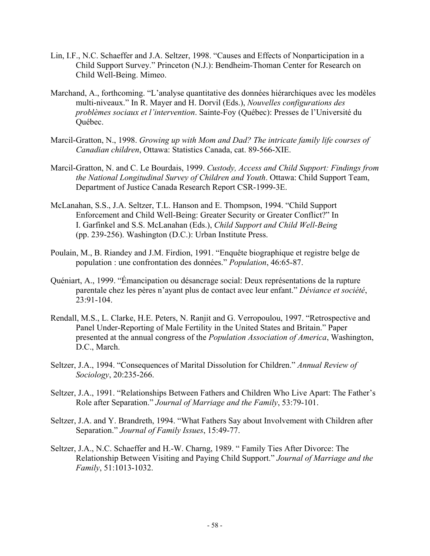- Lin, I.F., N.C. Schaeffer and J.A. Seltzer, 1998. "Causes and Effects of Nonparticipation in a Child Support Survey." Princeton (N.J.): Bendheim-Thoman Center for Research on Child Well-Being. Mimeo.
- Marchand, A., forthcoming. "L'analyse quantitative des données hiérarchiques avec les modèles multi-niveaux." In R. Mayer and H. Dorvil (Eds.), *Nouvelles configurations des problèmes sociaux et l'intervention*. Sainte-Foy (Québec): Presses de l'Université du Québec.
- Marcil-Gratton, N., 1998. *Growing up with Mom and Dad? The intricate family life courses of Canadian children*, Ottawa: Statistics Canada, cat. 89-566-XIE.
- Marcil-Gratton, N. and C. Le Bourdais, 1999. *Custody, Access and Child Support: Findings from the National Longitudinal Survey of Children and Youth*. Ottawa: Child Support Team, Department of Justice Canada Research Report CSR-1999-3E.
- McLanahan, S.S., J.A. Seltzer, T.L. Hanson and E. Thompson, 1994. "Child Support Enforcement and Child Well-Being: Greater Security or Greater Conflict?" In I. Garfinkel and S.S. McLanahan (Eds.), *Child Support and Child Well-Being* (pp. 239-256). Washington (D.C.): Urban Institute Press.
- Poulain, M., B. Riandey and J.M. Firdion, 1991. "Enquête biographique et registre belge de population : une confrontation des données." *Population*, 46:65-87.
- Quéniart, A., 1999. "Émancipation ou désancrage social: Deux représentations de la rupture parentale chez les pères n'ayant plus de contact avec leur enfant." *Déviance et société*, 23:91-104.
- Rendall, M.S., L. Clarke, H.E. Peters, N. Ranjit and G. Verropoulou, 1997. "Retrospective and Panel Under-Reporting of Male Fertility in the United States and Britain." Paper presented at the annual congress of the *Population Association of America*, Washington, D.C., March.
- Seltzer, J.A., 1994. "Consequences of Marital Dissolution for Children." *Annual Review of Sociology*, 20:235-266.
- Seltzer, J.A., 1991. "Relationships Between Fathers and Children Who Live Apart: The Father's Role after Separation." *Journal of Marriage and the Family*, 53:79-101.
- Seltzer, J.A. and Y. Brandreth, 1994. "What Fathers Say about Involvement with Children after Separation." *Journal of Family Issues*, 15:49-77.
- Seltzer, J.A., N.C. Schaeffer and H.-W. Charng, 1989. " Family Ties After Divorce: The Relationship Between Visiting and Paying Child Support." *Journal of Marriage and the Family*, 51:1013-1032.